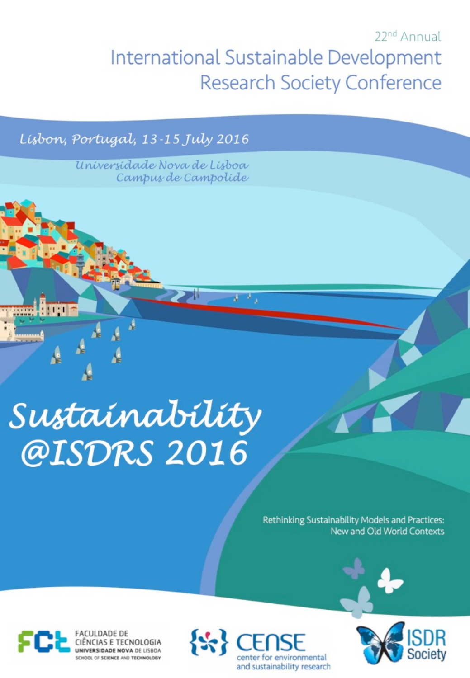# 22<sup>nd</sup> Annual International Sustainable Development **Research Society Conference**

 $\lambda = \frac{1}{2}$ 

Lisbon, Portugal, 13-15 July 2016

Universidade Nova de Lisboa Campus de Campolide

# Sustainability @ISDRS 2016

Rethinking Sustainability Models and Practices: New and Old World Contexts



Ą



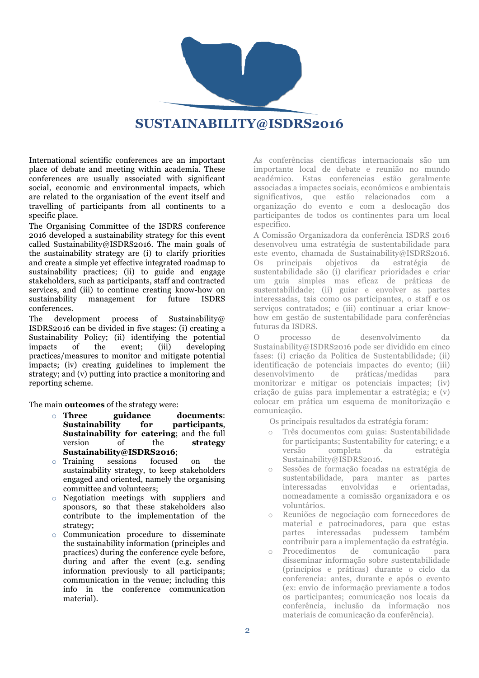

#### **SUSTAINABILITY@ISDRS2016**

International scientific conferences are an important place of debate and meeting within academia. These conferences are usually associated with significant social, economic and environmental impacts, which are related to the organisation of the event itself and travelling of participants from all continents to a specific place.

The Organising Committee of the ISDRS conference 2016 developed a sustainability strategy for this event called Sustainability@ISDRS2016. The main goals of the sustainability strategy are (i) to clarify priorities and create a simple yet effective integrated roadmap to sustainability practices; (ii) to guide and engage stakeholders, such as participants, staff and contracted services, and (iii) to continue creating know-how on sustainability management for future ISDRS conferences.

The development process of Sustainability@ ISDRS2016 can be divided in five stages: (i) creating a Sustainability Policy; (ii) identifying the potential impacts of the event; (iii) developing practices/measures to monitor and mitigate potential impacts; (iv) creating guidelines to implement the strategy; and (v) putting into practice a monitoring and reporting scheme.

The main **outcomes** of the strategy were:

- o **Three guidance documents**: **Sustainability for participants**, **Sustainability for catering**; and the full version of the **strategy Sustainability@ISDRS2016**;
- o Training sessions focused on the sustainability strategy, to keep stakeholders engaged and oriented, namely the organising committee and volunteers;
- o Negotiation meetings with suppliers and sponsors, so that these stakeholders also contribute to the implementation of the strategy;
- o Communication procedure to disseminate the sustainability information (principles and practices) during the conference cycle before, during and after the event (e.g. sending information previously to all participants; communication in the venue; including this info in the conference communication material).

As conferências científicas internacionais são um importante local de debate e reunião no mundo académico. Estas conferencias estão geralmente associadas a impactes sociais, económicos e ambientais significativos, que estão relacionados com a organização do evento e com a deslocação dos participantes de todos os continentes para um local específico.

A Comissão Organizadora da conferência ISDRS 2016 desenvolveu uma estratégia de sustentabilidade para este evento, chamada de Sustainability@ISDRS2016. Os principais objetivos da estratégia de sustentabilidade são (i) clarificar prioridades e criar um guia simples mas eficaz de práticas de sustentabilidade; (ii) guiar e envolver as partes interessadas, tais como os participantes, o staff e os serviços contratados; e (iii) continuar a criar knowhow em gestão de sustentabilidade para conferências futuras da ISDRS.

O processo de desenvolvimento da Sustainability@ISDRS2016 pode ser dividido em cinco fases: (i) criação da Política de Sustentabilidade; (ii) identificação de potenciais impactes do evento; (iii) desenvolvimento de práticas/medidas para monitorizar e mitigar os potenciais impactes; (iv) criação de guias para implementar a estratégia; e (v) colocar em prática um esquema de monitorização e comunicação.

Os principais resultados da estratégia foram:

- o Três documentos com guias: Sustentabilidade for participants; Sustentability for catering; e a versão completa da estratégia Sustainability@ISDRS2016.
- o Sessões de formação focadas na estratégia de sustentabilidade, para manter as partes interessadas envolvidas e orientadas, nomeadamente a comissão organizadora e os voluntários.
- o Reuniões de negociação com fornecedores de material e patrocinadores, para que estas partes interessadas pudessem também contribuir para a implementação da estratégia.
- o Procedimentos de comunicação para disseminar informação sobre sustentabilidade (princípios e práticas) durante o ciclo da conferencia: antes, durante e após o evento (ex: envio de informação previamente a todos os participantes; comunicação nos locais da conferência, inclusão da informação nos materiais de comunicação da conferência).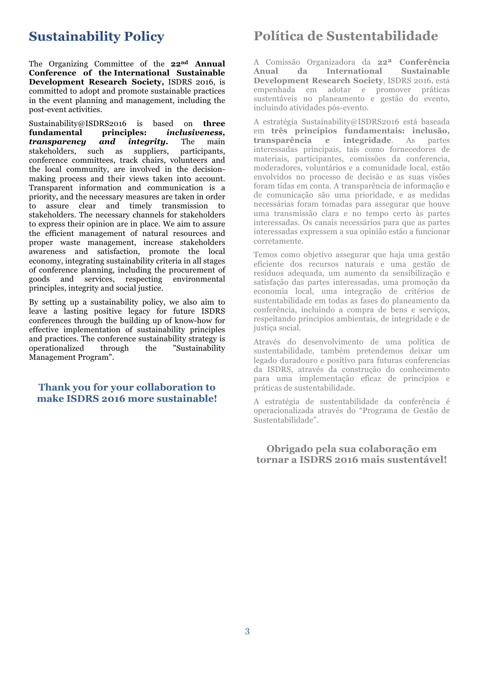#### **Sustainability Policy**

The Organizing Committee of the **22nd Annual Conference of the International Sustainable Development Research Society,** ISDRS 2016, is committed to adopt and promote sustainable practices in the event planning and management, including the post-event activities.

Sustainability@ISDRS2016 is based on **three fundamental principles:** *inclusiveness, transparency and integrity.* The main stakeholders, such as suppliers, participants, conference committees, track chairs, volunteers and the local community, are involved in the decisionmaking process and their views taken into account. Transparent information and communication is a priority, and the necessary measures are taken in order to assure clear and timely transmission to stakeholders. The necessary channels for stakeholders to express their opinion are in place. We aim to assure the efficient management of natural resources and proper waste management, increase stakeholders awareness and satisfaction, promote the local economy, integrating sustainability criteria in all stages of conference planning, including the procurement of goods and services, respecting environmental principles, integrity and social justice.

By setting up a sustainability policy, we also aim to leave a lasting positive legacy for future ISDRS conferences through the building up of know-how for effective implementation of sustainability principles and practices. The conference sustainability strategy is operationalized through the "Sustainability Management Program".

#### **Thank you for your collaboration to make ISDRS 2016 more sustainable!**

## **Política de Sustentabilidade**

A Comissão Organizadora da **22ª Conferência Anual da International Sustainable Development Research Society**, ISDRS 2016, está empenhada em adotar e promover práticas sustentáveis no planeamento e gestão do evento, incluindo atividades pós-evento.

A estratégia Sustainability@ISDRS2016 está baseada em **três princípios fundamentais: inclusão, transparência e integridade**. As partes interessadas principais, tais como fornecedores de materiais, participantes, comissões da conferencia, moderadores, voluntários e a comunidade local, estão envolvidos no processo de decisão e as suas visões foram tidas em conta. A transparência de informação e de comunicação são uma prioridade, e as medidas necessárias foram tomadas para assegurar que houve uma transmissão clara e no tempo certo às partes interessadas. Os canais necessários para que as partes interessadas expressem a sua opinião estão a funcionar corretamente.

Temos como objetivo assegurar que haja uma gestão eficiente dos recursos naturais e uma gestão de resíduos adequada, um aumento da sensibilização e satisfação das partes interessadas, uma promoção da economia local, uma integração de critérios de sustentabilidade em todas as fases do planeamento da conferência, incluindo a compra de bens e serviços, respeitando princípios ambientais, de integridade e de justica social.

Através do desenvolvimento de uma política de sustentabilidade, também pretendemos deixar um legado duradouro e positivo para futuras conferencias da ISDRS, através da construção do conhecimento para uma implementação eficaz de princípios e práticas de sustentabilidade.

A estratégia de sustentabilidade da conferência é operacionalizada através do "Programa de Gestão de Sustentabilidade".

**Obrigado pela sua colaboração em tornar a ISDRS 2016 mais sustentável!**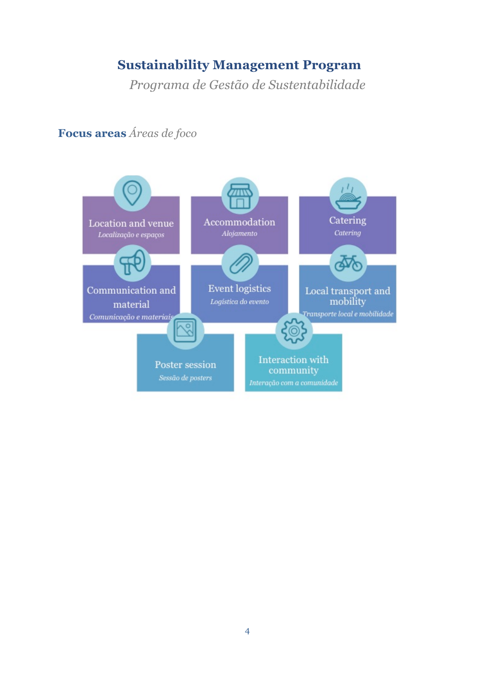### **Sustainability Management Program**

*Programa de Gestão de Sustentabilidade*



**Focus areas** *Áreas de foco*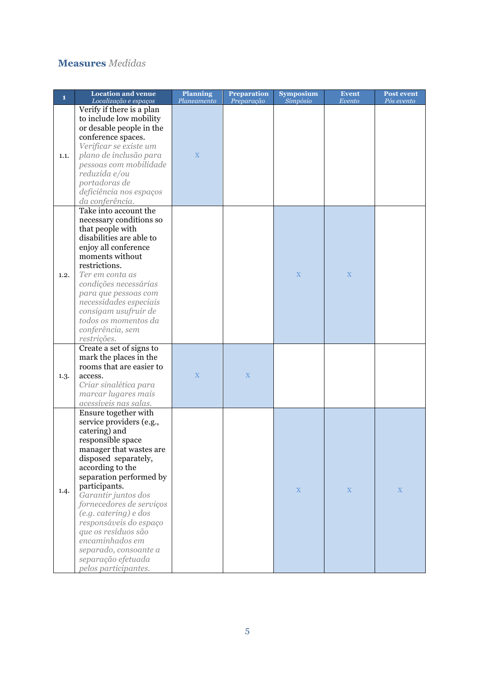#### **Measures** *Medidas*

| 1    | <b>Location and venue</b><br>Localização e espaços                                                                                                                                                                                                                                                                                                                                                                               | <b>Planning</b><br>Planeamento | <b>Preparation</b><br>Preparação | <b>Symposium</b><br>Simpósio | <b>Event</b><br>Evento | <b>Post event</b><br>Pós evento |
|------|----------------------------------------------------------------------------------------------------------------------------------------------------------------------------------------------------------------------------------------------------------------------------------------------------------------------------------------------------------------------------------------------------------------------------------|--------------------------------|----------------------------------|------------------------------|------------------------|---------------------------------|
| 1.1. | Verify if there is a plan<br>to include low mobility<br>or desable people in the<br>conference spaces.<br>Verificar se existe um<br>plano de inclusão para<br>pessoas com mobilidade<br>reduzida e/ou<br>portadoras de<br>deficiência nos espaços<br>da conferência.                                                                                                                                                             | $\overline{X}$                 |                                  |                              |                        |                                 |
| 1.2. | Take into account the<br>necessary conditions so<br>that people with<br>disabilities are able to<br>enjoy all conference<br>moments without<br>restrictions.<br>Ter em conta as<br>condições necessárias<br>para que pessoas com<br>necessidades especiais<br>consigam usufruir de<br>todos os momentos da<br>conferência, sem<br>restrições.                                                                                    |                                |                                  | X                            | X                      |                                 |
| 1.3. | Create a set of signs to<br>mark the places in the<br>rooms that are easier to<br>access.<br>Criar sinalética para<br>marcar lugares mais<br>acessíveis nas salas.                                                                                                                                                                                                                                                               | $\mathbf X$                    | X                                |                              |                        |                                 |
| 1.4. | Ensure together with<br>service providers (e.g.,<br>catering) and<br>responsible space<br>manager that wastes are<br>disposed separately,<br>according to the<br>separation performed by<br>participants.<br>Garantir juntos dos<br>fornecedores de serviços<br>(e.g. catering) e dos<br>responsáveis do espaço<br>que os resíduos são<br>encaminhados em<br>separado, consoante a<br>separação efetuada<br>pelos participantes. |                                |                                  | $\mathbf X$                  | $\mathbf X$            | $\mathbf X$                     |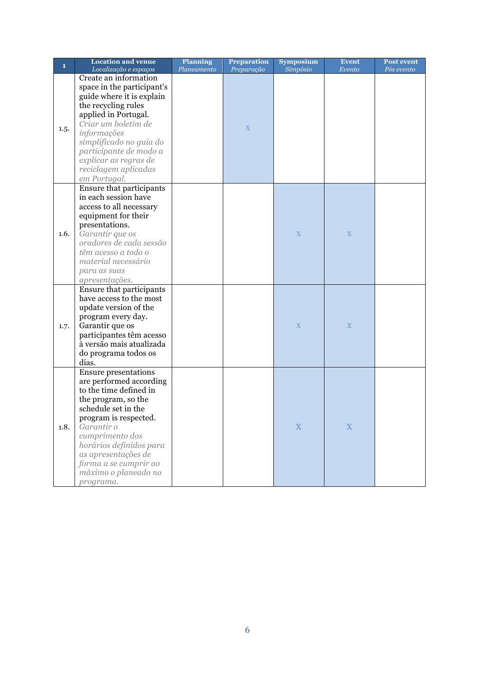| $\mathbf{1}$ | <b>Location and venue</b><br>Localização e espaços                                                                                                                                                                                                                                                       | <b>Planning</b><br>Planeamento | <b>Preparation</b><br>Preparação | <b>Symposium</b><br>Simpósio | <b>Event</b><br>Evento | <b>Post event</b><br>Pós evento |
|--------------|----------------------------------------------------------------------------------------------------------------------------------------------------------------------------------------------------------------------------------------------------------------------------------------------------------|--------------------------------|----------------------------------|------------------------------|------------------------|---------------------------------|
| 1.5.         | Create an information<br>space in the participant's<br>guide where it is explain<br>the recycling rules<br>applied in Portugal.<br>Criar um boletim de<br>informações<br>simplificado no guia do<br>participante de modo a<br>explicar as regras de<br>reciclagem aplicadas<br>em Portugal.              |                                | $\mathbf X$                      |                              |                        |                                 |
| 1.6.         | Ensure that participants<br>in each session have<br>access to all necessary<br>equipment for their<br>presentations.<br>Garantir que os<br>oradores de cada sessão<br>têm acesso a todo o<br>material necessário<br>para as suas<br>apresentações.                                                       |                                |                                  | $\boldsymbol{\mathrm{X}}$    | $\mathbf X$            |                                 |
| 1.7.         | Ensure that participants<br>have access to the most<br>update version of the<br>program every day.<br>Garantir que os<br>participantes têm acesso<br>à versão mais atualizada<br>do programa todos os<br>dias.                                                                                           |                                |                                  | X                            | X                      |                                 |
| 1.8.         | <b>Ensure presentations</b><br>are performed according<br>to the time defined in<br>the program, so the<br>schedule set in the<br>program is respected.<br>Garantir o<br>cumprimento dos<br>horários definidos para<br>as apresentações de<br>forma a se cumprir ao<br>máximo o planeado no<br>programa. |                                |                                  | $\mathbf X$                  | $\mathbf X$            |                                 |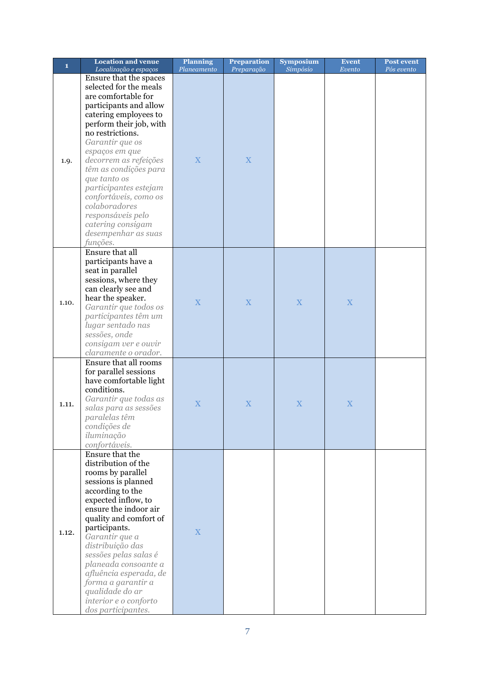| $\mathbf{1}$ | <b>Location and venue</b> | <b>Planning</b> | <b>Preparation</b> | <b>Symposium</b> | <b>Event</b> | Post event |
|--------------|---------------------------|-----------------|--------------------|------------------|--------------|------------|
|              | Localização e espaços     | Planeamento     | Preparação         | Simpósio         | Evento       | Pós evento |
|              | Ensure that the spaces    |                 |                    |                  |              |            |
|              | selected for the meals    |                 |                    |                  |              |            |
|              | are comfortable for       |                 |                    |                  |              |            |
|              | participants and allow    |                 |                    |                  |              |            |
|              | catering employees to     |                 |                    |                  |              |            |
|              | perform their job, with   |                 |                    |                  |              |            |
|              | no restrictions.          |                 |                    |                  |              |            |
|              | Garantir que os           |                 |                    |                  |              |            |
|              | espaços em que            |                 |                    |                  |              |            |
| 1.9.         | decorrem as refeições     | $\mathbf X$     | X                  |                  |              |            |
|              | têm as condições para     |                 |                    |                  |              |            |
|              | que tanto os              |                 |                    |                  |              |            |
|              | participantes estejam     |                 |                    |                  |              |            |
|              | confortáveis, como os     |                 |                    |                  |              |            |
|              | colaboradores             |                 |                    |                  |              |            |
|              | responsáveis pelo         |                 |                    |                  |              |            |
|              | catering consigam         |                 |                    |                  |              |            |
|              | desempenhar as suas       |                 |                    |                  |              |            |
|              | funções.                  |                 |                    |                  |              |            |
|              | Ensure that all           |                 |                    |                  |              |            |
|              | participants have a       |                 |                    |                  |              |            |
|              | seat in parallel          |                 |                    |                  |              |            |
|              | sessions, where they      |                 |                    |                  |              |            |
|              | can clearly see and       |                 |                    |                  |              |            |
| 1.10.        | hear the speaker.         |                 |                    |                  |              |            |
|              | Garantir que todos os     | X               | $\mathbf X$        | X                | $\mathbf X$  |            |
|              | participantes têm um      |                 |                    |                  |              |            |
|              | lugar sentado nas         |                 |                    |                  |              |            |
|              | sessões, onde             |                 |                    |                  |              |            |
|              | consigam ver e ouvir      |                 |                    |                  |              |            |
|              | claramente o orador.      |                 |                    |                  |              |            |
|              | Ensure that all rooms     |                 |                    |                  |              |            |
|              | for parallel sessions     |                 |                    |                  |              |            |
|              | have comfortable light    |                 |                    |                  |              |            |
|              | conditions.               |                 |                    |                  |              |            |
|              | Garantir que todas as     |                 |                    |                  |              |            |
| 1.11.        | salas para as sessões     | $\mathbf X$     | $\mathbf X$        | $\mathbf X$      | X            |            |
|              | paralelas têm             |                 |                    |                  |              |            |
|              | condições de              |                 |                    |                  |              |            |
|              | iluminação                |                 |                    |                  |              |            |
|              | confortáveis.             |                 |                    |                  |              |            |
|              | Ensure that the           |                 |                    |                  |              |            |
|              | distribution of the       |                 |                    |                  |              |            |
|              | rooms by parallel         |                 |                    |                  |              |            |
|              | sessions is planned       |                 |                    |                  |              |            |
|              | according to the          |                 |                    |                  |              |            |
|              | expected inflow, to       |                 |                    |                  |              |            |
|              | ensure the indoor air     |                 |                    |                  |              |            |
|              | quality and comfort of    |                 |                    |                  |              |            |
|              | participants.             |                 |                    |                  |              |            |
| 1.12.        | Garantir que a            | $\mathbf X$     |                    |                  |              |            |
|              | distribuição das          |                 |                    |                  |              |            |
|              | sessões pelas salas é     |                 |                    |                  |              |            |
|              | planeada consoante a      |                 |                    |                  |              |            |
|              | afluência esperada, de    |                 |                    |                  |              |            |
|              | forma a garantir a        |                 |                    |                  |              |            |
|              | qualidade do ar           |                 |                    |                  |              |            |
|              |                           |                 |                    |                  |              |            |
|              | interior e o conforto     |                 |                    |                  |              |            |
|              | dos participantes.        |                 |                    |                  |              |            |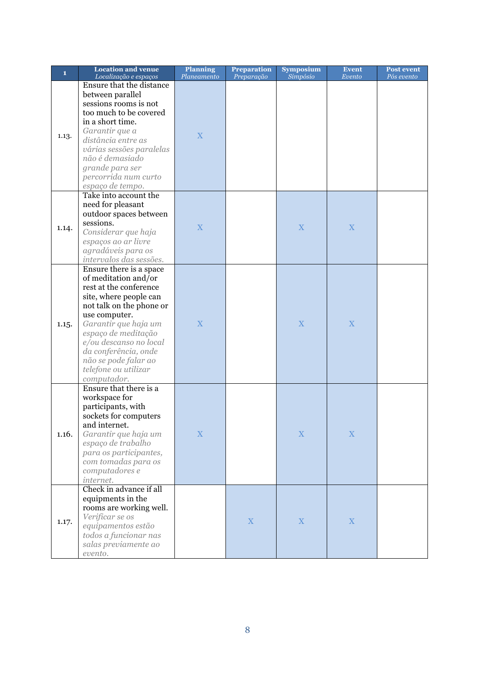| $\mathbf{1}$ | <b>Location and venue</b><br>Localização e espaços                                                                                                                                                                                                                                                               | <b>Planning</b><br>Planeamento | <b>Preparation</b><br>Preparação | <b>Symposium</b><br>Simpósio | Event<br>Evento | <b>Post event</b><br>Pós evento |
|--------------|------------------------------------------------------------------------------------------------------------------------------------------------------------------------------------------------------------------------------------------------------------------------------------------------------------------|--------------------------------|----------------------------------|------------------------------|-----------------|---------------------------------|
| 1.13.        | Ensure that the distance<br>between parallel<br>sessions rooms is not<br>too much to be covered<br>in a short time.<br>Garantir que a<br>distância entre as<br>várias sessões paralelas<br>não é demasiado<br>grande para ser<br>percorrida num curto<br>espaço de tempo.                                        | $\overline{X}$                 |                                  |                              |                 |                                 |
| 1.14.        | Take into account the<br>need for pleasant<br>outdoor spaces between<br>sessions.<br>Considerar que haja<br>espaços ao ar livre<br>agradáveis para os<br>intervalos das sessões.                                                                                                                                 | X                              |                                  | X                            | X               |                                 |
| 1.15.        | Ensure there is a space<br>of meditation and/or<br>rest at the conference<br>site, where people can<br>not talk on the phone or<br>use computer.<br>Garantir que haja um<br>espaço de meditação<br>e/ou descanso no local<br>da conferência, onde<br>não se pode falar ao<br>telefone ou utilizar<br>computador. | $\overline{\mathbf{X}}$        |                                  | X                            | X               |                                 |
| 1.16.        | Ensure that there is a<br>workspace for<br>participants, with<br>sockets for computers<br>and internet.<br>Garantir que haja um<br>espaço de trabalho<br>para os participantes,<br>com tomadas para os<br>computadores e<br>internet.                                                                            | $\mathbf X$                    |                                  | $\mathbf X$                  | $\mathbf X$     |                                 |
| 1.17.        | Check in advance if all<br>equipments in the<br>rooms are working well.<br>Verificar se os<br>equipamentos estão<br>todos a funcionar nas<br>salas previamente ao<br>evento.                                                                                                                                     |                                | $\mathbf X$                      | $\mathbf X$                  | $\mathbf X$     |                                 |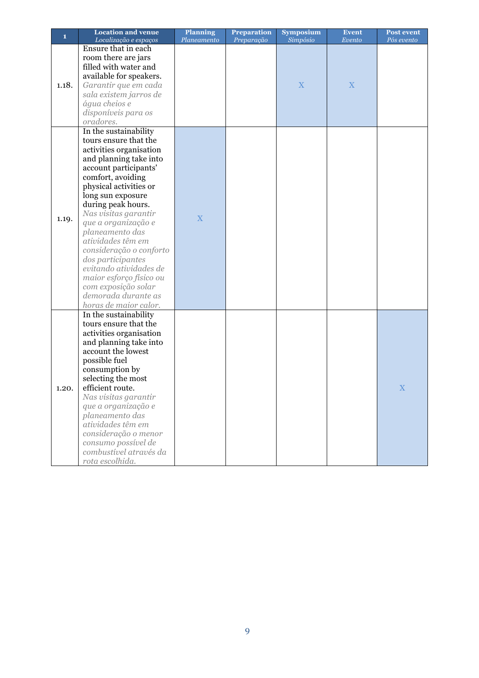| $\mathbf{1}$ | <b>Location and venue</b>                                                                                                                                                                                                                                                                                                                                                                                                                                                                 | <b>Planning</b> | <b>Preparation</b> | <b>Symposium</b> | <b>Event</b> | <b>Post event</b> |
|--------------|-------------------------------------------------------------------------------------------------------------------------------------------------------------------------------------------------------------------------------------------------------------------------------------------------------------------------------------------------------------------------------------------------------------------------------------------------------------------------------------------|-----------------|--------------------|------------------|--------------|-------------------|
|              | Localização e espaços                                                                                                                                                                                                                                                                                                                                                                                                                                                                     | Planeamento     | Preparação         | Simpósio         | Evento       | Pós evento        |
| 1.18.        | Ensure that in each<br>room there are jars<br>filled with water and<br>available for speakers.<br>Garantir que em cada<br>sala existem jarros de<br>água cheios e<br>disponíveis para os<br>oradores.                                                                                                                                                                                                                                                                                     |                 |                    | $\mathbf X$      | $\mathbf X$  |                   |
| 1.19.        | In the sustainability<br>tours ensure that the<br>activities organisation<br>and planning take into<br>account participants'<br>comfort, avoiding<br>physical activities or<br>long sun exposure<br>during peak hours.<br>Nas visitas garantir<br>que a organização e<br>planeamento das<br>atividades têm em<br>consideração o conforto<br>dos participantes<br>evitando atividades de<br>maior esforço físico ou<br>com exposição solar<br>demorada durante as<br>horas de maior calor. | X               |                    |                  |              |                   |
| 1.20.        | In the sustainability<br>tours ensure that the<br>activities organisation<br>and planning take into<br>account the lowest<br>possible fuel<br>consumption by<br>selecting the most<br>efficient route.<br>Nas visitas garantir<br>que a organização e<br>planeamento das<br>atividades têm em<br>consideração o menor<br>consumo possível de<br>combustível através da<br>rota escolhida.                                                                                                 |                 |                    |                  |              | X                 |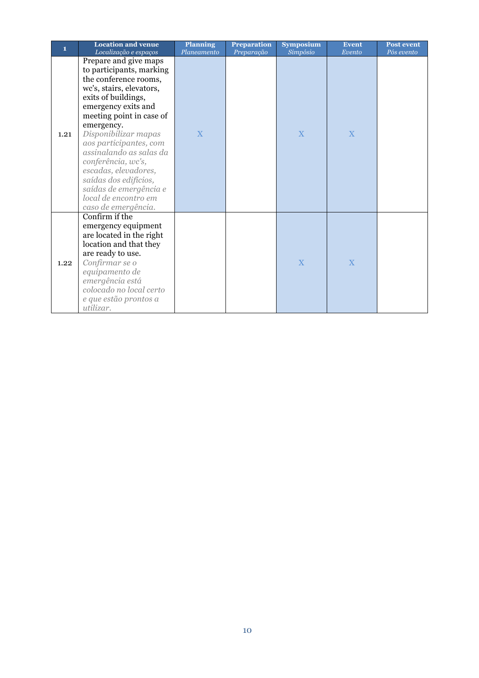| 1    | <b>Location and venue</b>                                                                                                                                                                                                                                                                                                                                                                                                                            | <b>Planning</b>  | <b>Preparation</b> | Symposium     | <b>Event</b> | <b>Post event</b> |
|------|------------------------------------------------------------------------------------------------------------------------------------------------------------------------------------------------------------------------------------------------------------------------------------------------------------------------------------------------------------------------------------------------------------------------------------------------------|------------------|--------------------|---------------|--------------|-------------------|
| 1.21 | Localização e espaços<br>Prepare and give maps<br>to participants, marking<br>the conference rooms,<br>wc's, stairs, elevators,<br>exits of buildings,<br>emergency exits and<br>meeting point in case of<br>emergency.<br>Disponibilizar mapas<br>aos participantes, com<br>assinalando as salas da<br>conferência, wc's,<br>escadas, elevadores,<br>saídas dos edifícios,<br>saídas de emergência e<br>local de encontro em<br>caso de emergência. | Planeamento<br>X | Preparação         | Simpósio<br>X | Evento<br>X  | Pós evento        |
| 1.22 | Confirm if the<br>emergency equipment<br>are located in the right<br>location and that they<br>are ready to use.<br>Confirmar se o<br>equipamento de<br>emergência está<br>colocado no local certo<br>e que estão prontos a<br>utilizar.                                                                                                                                                                                                             |                  |                    | X             | X            |                   |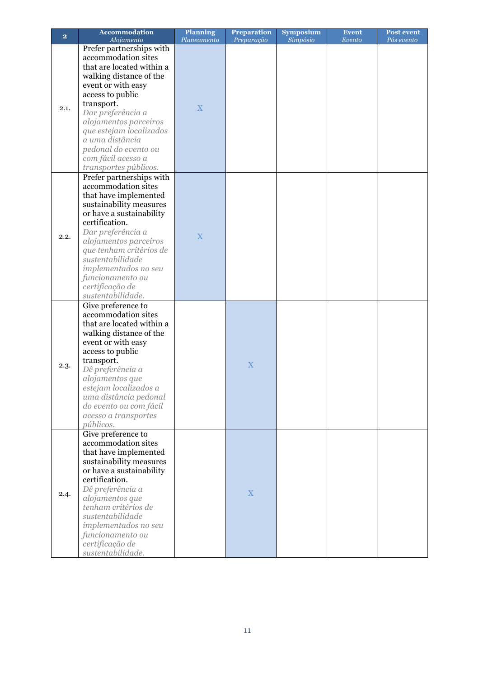| $\overline{\mathbf{2}}$ | <b>Accommodation</b>      | <b>Planning</b> | <b>Preparation</b> | <b>Symposium</b> | <b>Event</b> | <b>Post event</b> |
|-------------------------|---------------------------|-----------------|--------------------|------------------|--------------|-------------------|
|                         | Alojamento                | Planeamento     | Preparação         | Simpósio         | Evento       | Pós evento        |
|                         | Prefer partnerships with  |                 |                    |                  |              |                   |
|                         | accommodation sites       |                 |                    |                  |              |                   |
|                         | that are located within a |                 |                    |                  |              |                   |
|                         | walking distance of the   |                 |                    |                  |              |                   |
|                         | event or with easy        |                 |                    |                  |              |                   |
|                         | access to public          |                 |                    |                  |              |                   |
|                         | transport.                |                 |                    |                  |              |                   |
| 2.1.                    | Dar preferência a         | X               |                    |                  |              |                   |
|                         | alojamentos parceiros     |                 |                    |                  |              |                   |
|                         | que estejam localizados   |                 |                    |                  |              |                   |
|                         | a uma distância           |                 |                    |                  |              |                   |
|                         | pedonal do evento ou      |                 |                    |                  |              |                   |
|                         | com fácil acesso a        |                 |                    |                  |              |                   |
|                         | transportes públicos.     |                 |                    |                  |              |                   |
|                         | Prefer partnerships with  |                 |                    |                  |              |                   |
|                         | accommodation sites       |                 |                    |                  |              |                   |
|                         |                           |                 |                    |                  |              |                   |
|                         | that have implemented     |                 |                    |                  |              |                   |
|                         | sustainability measures   |                 |                    |                  |              |                   |
|                         | or have a sustainability  |                 |                    |                  |              |                   |
|                         | certification.            |                 |                    |                  |              |                   |
| 2.2.                    | Dar preferência a         | X               |                    |                  |              |                   |
|                         | alojamentos parceiros     |                 |                    |                  |              |                   |
|                         | que tenham critérios de   |                 |                    |                  |              |                   |
|                         | sustentabilidade          |                 |                    |                  |              |                   |
|                         | implementados no seu      |                 |                    |                  |              |                   |
|                         | funcionamento ou          |                 |                    |                  |              |                   |
|                         | certificação de           |                 |                    |                  |              |                   |
|                         | sustentabilidade.         |                 |                    |                  |              |                   |
|                         | Give preference to        |                 |                    |                  |              |                   |
|                         | accommodation sites       |                 |                    |                  |              |                   |
|                         | that are located within a |                 |                    |                  |              |                   |
|                         | walking distance of the   |                 |                    |                  |              |                   |
|                         | event or with easy        |                 |                    |                  |              |                   |
|                         | access to public          |                 |                    |                  |              |                   |
|                         | transport.                |                 |                    |                  |              |                   |
| 2.3.                    | Dê preferência a          |                 | X                  |                  |              |                   |
|                         | alojamentos que           |                 |                    |                  |              |                   |
|                         | estejam localizados a     |                 |                    |                  |              |                   |
|                         | uma distância pedonal     |                 |                    |                  |              |                   |
|                         | do evento ou com fácil    |                 |                    |                  |              |                   |
|                         | acesso a transportes      |                 |                    |                  |              |                   |
|                         | públicos.                 |                 |                    |                  |              |                   |
|                         | Give preference to        |                 |                    |                  |              |                   |
|                         | accommodation sites       |                 |                    |                  |              |                   |
|                         | that have implemented     |                 |                    |                  |              |                   |
|                         | sustainability measures   |                 |                    |                  |              |                   |
|                         | or have a sustainability  |                 |                    |                  |              |                   |
|                         | certification.            |                 |                    |                  |              |                   |
|                         | Dê preferência a          |                 |                    |                  |              |                   |
| 2.4.                    | alojamentos que           |                 | $\mathbf X$        |                  |              |                   |
|                         | tenham critérios de       |                 |                    |                  |              |                   |
|                         | sustentabilidade          |                 |                    |                  |              |                   |
|                         | implementados no seu      |                 |                    |                  |              |                   |
|                         |                           |                 |                    |                  |              |                   |
|                         | funcionamento ou          |                 |                    |                  |              |                   |
|                         | certificação de           |                 |                    |                  |              |                   |
|                         | sustentabilidade.         |                 |                    |                  |              |                   |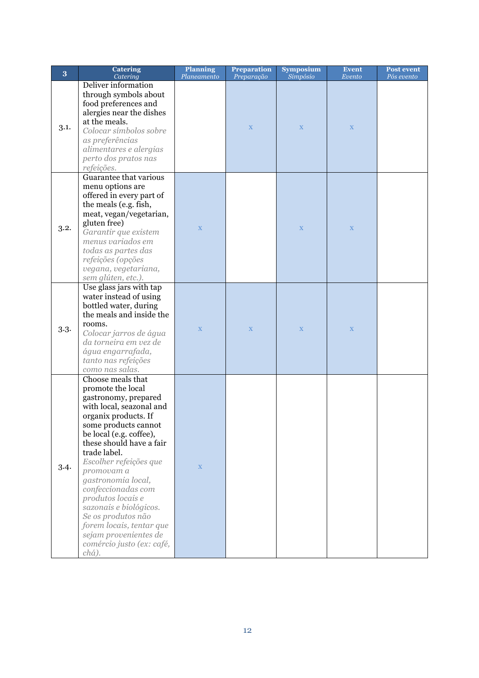| 3    | <b>Catering</b><br>Catering                                                                                                                                                                                                                                                                                                                                                                                                                                           | <b>Planning</b><br>Planeamento | <b>Preparation</b><br>Preparação | <b>Symposium</b><br>Simpósio | <b>Event</b><br>Evento | <b>Post event</b><br>Pós evento |
|------|-----------------------------------------------------------------------------------------------------------------------------------------------------------------------------------------------------------------------------------------------------------------------------------------------------------------------------------------------------------------------------------------------------------------------------------------------------------------------|--------------------------------|----------------------------------|------------------------------|------------------------|---------------------------------|
| 3.1. | Deliver information<br>through symbols about<br>food preferences and<br>alergies near the dishes<br>at the meals.<br>Colocar símbolos sobre<br>as preferências<br>alimentares e alergias<br>perto dos pratos nas<br>refeições.                                                                                                                                                                                                                                        |                                | $\mathbf X$                      | $\mathbf X$                  | $\mathbf X$            |                                 |
| 3.2. | Guarantee that various<br>menu options are<br>offered in every part of<br>the meals (e.g. fish,<br>meat, vegan/vegetarian,<br>gluten free)<br>Garantir que existem<br>menus variados em<br>todas as partes das<br>refeições (opções<br>vegana, vegetariana,<br>sem glúten, etc.).                                                                                                                                                                                     | $\mathbf X$                    |                                  | $\mathbf X$                  | $\mathbf X$            |                                 |
| 3.3. | Use glass jars with tap<br>water instead of using<br>bottled water, during<br>the meals and inside the<br>rooms.<br>Colocar jarros de água<br>da torneira em vez de<br>água engarrafada,<br>tanto nas refeições<br>como nas salas.                                                                                                                                                                                                                                    | $\mathbf X$                    | $\mathbf X$                      | $\mathbf X$                  | $\mathbf X$            |                                 |
| 3.4. | Choose meals that<br>promote the local<br>gastronomy, prepared<br>with local, seazonal and<br>organix products. If<br>some products cannot<br>be local (e.g. coffee),<br>these should have a fair<br>trade label.<br>Escolher refeições que<br>promovam a<br>gastronomia local,<br>confeccionadas com<br>produtos locais e<br>sazonais e biológicos.<br>Se os produtos não<br>forem locais, tentar que<br>sejam provenientes de<br>comércio justo (ex: café,<br>chá). | $\mathbf X$                    |                                  |                              |                        |                                 |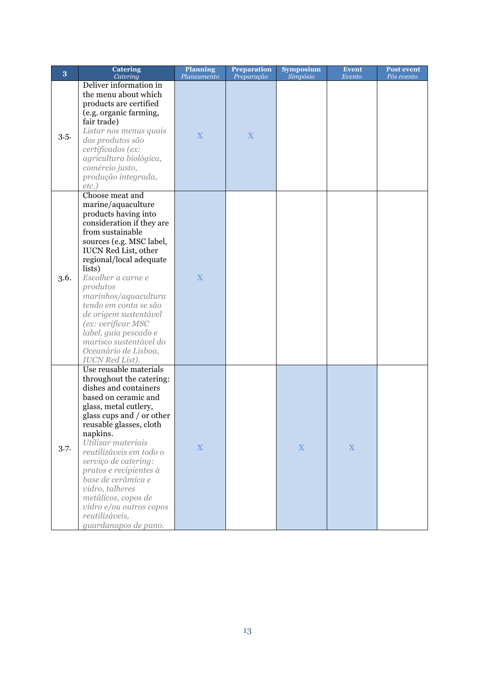| 3    | <b>Catering</b><br>Catering                                                                                                                                                                                                                                                                                                                                                                                                                           | <b>Planning</b><br>Planeamento | <b>Preparation</b><br>Preparação | <b>Symposium</b><br>Simpósio | <b>Event</b><br>Evento | <b>Post event</b><br>Pós evento |
|------|-------------------------------------------------------------------------------------------------------------------------------------------------------------------------------------------------------------------------------------------------------------------------------------------------------------------------------------------------------------------------------------------------------------------------------------------------------|--------------------------------|----------------------------------|------------------------------|------------------------|---------------------------------|
| 3.5. | Deliver information in<br>the menu about which<br>products are certified<br>(e.g. organic farming,<br>fair trade)<br>Listar nos menus quais<br>dos produtos são<br>certificados (ex:<br>agricultura biológica,<br>comércio justo,<br>produção integrada,<br>$etc.$ )                                                                                                                                                                                  | X                              | X                                |                              |                        |                                 |
| 3.6. | Choose meat and<br>marine/aquaculture<br>products having into<br>consideration if they are<br>from sustainable<br>sources (e.g. MSC label,<br><b>IUCN Red List, other</b><br>regional/local adequate<br>lists)<br>Escolher a carne e<br>produtos<br>marinhos/aquacultura<br>tendo em conta se são<br>de origem sustentável<br>(ex: verificar MSC<br>label, guia pescado e<br>marisco sustentável do<br>Oceanário de Lisboa,<br><b>IUCN</b> Red List). | X                              |                                  |                              |                        |                                 |
| 3.7. | Use reusable materials<br>throughout the catering:<br>dishes and containers<br>based on ceramic and<br>glass, metal cutlery,<br>glass cups and / or other<br>reusable glasses, cloth<br>napkins.<br>Utilizar materiais<br>reutilizáveis em todo o<br>serviço de catering:<br>pratos e recipientes à<br>base de cerâmica e<br>vidro, talheres<br>metálicos, copos de<br>vidro e/ou outros copos<br>reutilizáveis,<br>guardanapos de pano.              | $\mathbf X$                    |                                  | X                            | $\mathbf X$            |                                 |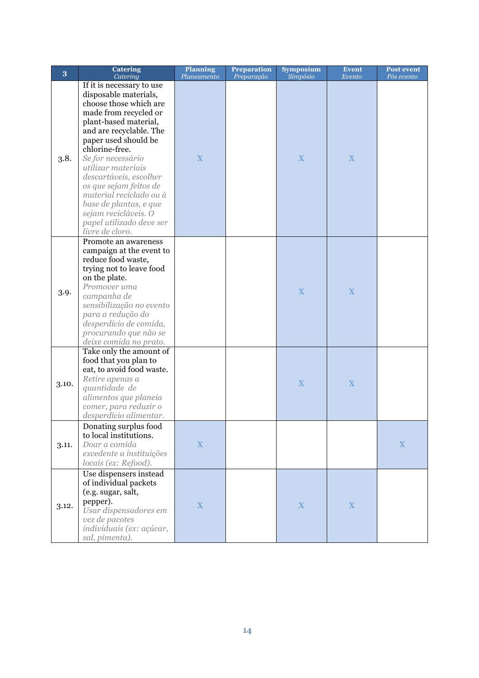| 3     | <b>Catering</b><br>Catering                                                                                                                                                                                                                                                                                                                                                                                                    | <b>Planning</b><br>Planeamento | <b>Preparation</b><br>Preparação | <b>Symposium</b><br>Simpósio | <b>Event</b><br>Evento | <b>Post event</b><br>Pós evento |
|-------|--------------------------------------------------------------------------------------------------------------------------------------------------------------------------------------------------------------------------------------------------------------------------------------------------------------------------------------------------------------------------------------------------------------------------------|--------------------------------|----------------------------------|------------------------------|------------------------|---------------------------------|
| 3.8.  | If it is necessary to use<br>disposable materials,<br>choose those which are<br>made from recycled or<br>plant-based material,<br>and are recyclable. The<br>paper used should be<br>chlorine-free.<br>Se for necessário<br>utilizar materiais<br>descartáveis, escolher<br>os que sejam feitos de<br>material reciclado ou à<br>base de plantas, e que<br>sejam recicláveis. O<br>papel utilizado deve ser<br>livre de cloro. | $\mathbf X$                    |                                  | $\mathbf X$                  | X                      |                                 |
| 3.9.  | Promote an awareness<br>campaign at the event to<br>reduce food waste,<br>trying not to leave food<br>on the plate.<br>Promover uma<br>campanha de<br>sensibilização no evento<br>para a redução do<br>desperdício de comida,<br>procurando que não se<br>deixe comida no prato.                                                                                                                                               |                                |                                  | $\mathbf X$                  | $\mathbf X$            |                                 |
| 3.10. | Take only the amount of<br>food that you plan to<br>eat, to avoid food waste.<br>Retire apenas a<br>quantidade de<br>alimentos que planeia<br>comer, para reduzir o<br>desperdício alimentar.                                                                                                                                                                                                                                  |                                |                                  | $\mathbf X$                  | $\mathbf X$            |                                 |
| 3.11. | Donating surplus food<br>to local institutions.<br>Doar a comida<br>excedente a instituições<br>locais (ex: Refood).                                                                                                                                                                                                                                                                                                           | $\mathbf X$                    |                                  |                              |                        | $\mathbf X$                     |
| 3.12. | Use dispensers instead<br>of individual packets<br>(e.g. sugar, salt,<br>pepper).<br>Usar dispensadores em<br>vez de pacotes<br>individuais (ex: açúcar,<br>sal, pimenta).                                                                                                                                                                                                                                                     | $\mathbf X$                    |                                  | $\mathbf X$                  | $\mathbf X$            |                                 |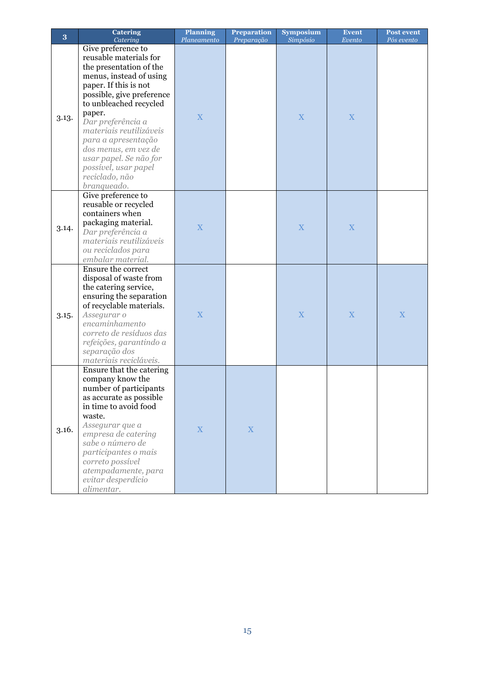| 3     | <b>Catering</b><br>Catering                                                                                                                                                                                                                                                                                                                                                    | <b>Planning</b><br>Planeamento | <b>Preparation</b><br>Preparação | <b>Symposium</b><br>Simpósio | <b>Event</b><br>Evento | <b>Post event</b><br>Pós evento |
|-------|--------------------------------------------------------------------------------------------------------------------------------------------------------------------------------------------------------------------------------------------------------------------------------------------------------------------------------------------------------------------------------|--------------------------------|----------------------------------|------------------------------|------------------------|---------------------------------|
| 3.13. | Give preference to<br>reusable materials for<br>the presentation of the<br>menus, instead of using<br>paper. If this is not<br>possible, give preference<br>to unbleached recycled<br>paper.<br>Dar preferência a<br>materiais reutilizáveis<br>para a apresentação<br>dos menus, em vez de<br>usar papel. Se não for<br>possível, usar papel<br>reciclado, não<br>branqueado. | X                              |                                  | X                            | X                      |                                 |
| 3.14. | Give preference to<br>reusable or recycled<br>containers when<br>packaging material.<br>Dar preferência a<br>materiais reutilizáveis<br>ou reciclados para<br>embalar material.                                                                                                                                                                                                | X                              |                                  | $\mathbf X$                  | X                      |                                 |
| 3.15. | Ensure the correct<br>disposal of waste from<br>the catering service,<br>ensuring the separation<br>of recyclable materials.<br>Assegurar o<br>encaminhamento<br>correto de resíduos das<br>refeições, garantindo a<br>separação dos<br>materiais recicláveis.                                                                                                                 | X                              |                                  | $\mathbf X$                  | X                      | X                               |
| 3.16. | Ensure that the catering<br>company know the<br>number of participants<br>as accurate as possible<br>in time to avoid food<br>waste.<br>Assegurar que a<br>empresa de catering<br>sabe o número de<br>participantes o mais<br>correto possível<br>atempadamente, para<br>evitar desperdício<br>alimentar.                                                                      | $\mathbf X$                    | X                                |                              |                        |                                 |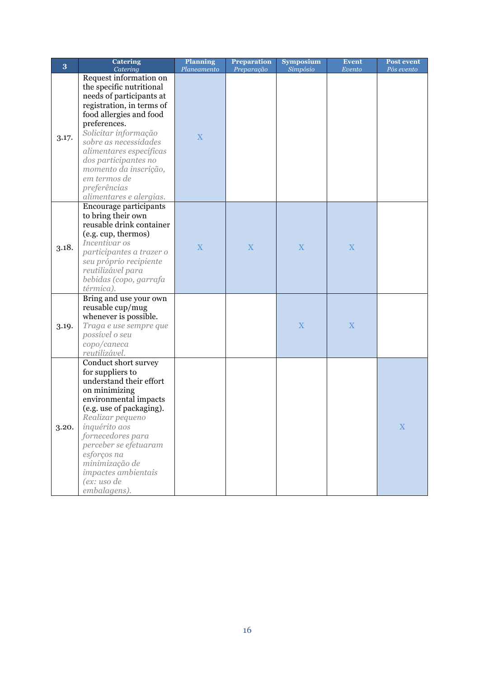| 3     | <b>Catering</b><br>Catering                                                                                                                                                                                                                                                                                                                    | <b>Planning</b><br>Planeamento | <b>Preparation</b><br>Preparação | <b>Symposium</b><br>Simpósio | Event<br>Evento | <b>Post event</b><br>Pós evento |
|-------|------------------------------------------------------------------------------------------------------------------------------------------------------------------------------------------------------------------------------------------------------------------------------------------------------------------------------------------------|--------------------------------|----------------------------------|------------------------------|-----------------|---------------------------------|
| 3.17. | Request information on<br>the specific nutritional<br>needs of participants at<br>registration, in terms of<br>food allergies and food<br>preferences.<br>Solicitar informação<br>sobre as necessidades<br>alimentares específicas<br>dos participantes no<br>momento da inscrição,<br>em termos de<br>preferências<br>alimentares e alergias. | X                              |                                  |                              |                 |                                 |
| 3.18. | Encourage participants<br>to bring their own<br>reusable drink container<br>(e.g. cup, thermos)<br>Incentivar os<br>participantes a trazer o<br>seu próprio recipiente<br>reutilizável para<br>bebidas (copo, garrafa<br>térmica).                                                                                                             | X                              | X                                | X                            | $\mathbf X$     |                                 |
| 3.19. | Bring and use your own<br>reusable cup/mug<br>whenever is possible.<br>Traga e use sempre que<br>possível o seu<br>copo/caneca<br>reutilizável.                                                                                                                                                                                                |                                |                                  | X                            | $\mathbf X$     |                                 |
| 3.20. | Conduct short survey<br>for suppliers to<br>understand their effort<br>on minimizing<br>environmental impacts<br>(e.g. use of packaging).<br>Realizar pequeno<br>inquérito aos<br>fornecedores para<br>perceber se efetuaram<br>esforços na<br>minimização de<br>impactes ambientais<br>(ex: uso de<br>embalagens).                            |                                |                                  |                              |                 | $\mathbf X$                     |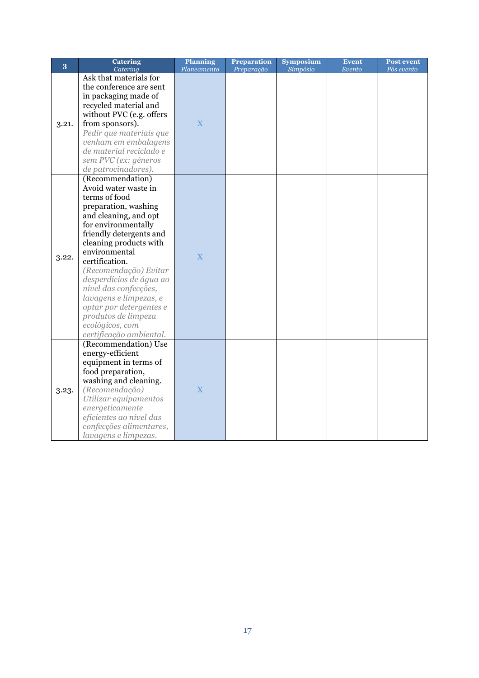| 3     | <b>Catering</b><br>Catering                     | <b>Planning</b><br>Planeamento | <b>Preparation</b><br>Preparação | <b>Symposium</b><br>Simpósio | <b>Event</b><br>Evento | <b>Post event</b><br>Pós evento |
|-------|-------------------------------------------------|--------------------------------|----------------------------------|------------------------------|------------------------|---------------------------------|
|       | Ask that materials for                          |                                |                                  |                              |                        |                                 |
|       | the conference are sent                         |                                |                                  |                              |                        |                                 |
|       | in packaging made of                            |                                |                                  |                              |                        |                                 |
|       | recycled material and                           |                                |                                  |                              |                        |                                 |
|       | without PVC (e.g. offers                        |                                |                                  |                              |                        |                                 |
| 3.21. | from sponsors).                                 | X                              |                                  |                              |                        |                                 |
|       | Pedir que materiais que                         |                                |                                  |                              |                        |                                 |
|       | venham em embalagens                            |                                |                                  |                              |                        |                                 |
|       | de material reciclado e                         |                                |                                  |                              |                        |                                 |
|       | sem PVC (ex: géneros                            |                                |                                  |                              |                        |                                 |
|       | de patrocinadores).                             |                                |                                  |                              |                        |                                 |
|       | (Recommendation)                                |                                |                                  |                              |                        |                                 |
|       | Avoid water waste in                            |                                |                                  |                              |                        |                                 |
|       | terms of food                                   |                                |                                  |                              |                        |                                 |
|       | preparation, washing                            |                                |                                  |                              |                        |                                 |
|       | and cleaning, and opt                           |                                |                                  |                              |                        |                                 |
|       | for environmentally                             |                                |                                  |                              |                        |                                 |
|       | friendly detergents and                         |                                |                                  |                              |                        |                                 |
|       | cleaning products with                          |                                |                                  |                              |                        |                                 |
| 3.22. | environmental                                   | $\overline{\mathbf{X}}$        |                                  |                              |                        |                                 |
|       | certification.                                  |                                |                                  |                              |                        |                                 |
|       | (Recomendação) Evitar                           |                                |                                  |                              |                        |                                 |
|       | desperdícios de água ao                         |                                |                                  |                              |                        |                                 |
|       | nível das confecções,                           |                                |                                  |                              |                        |                                 |
|       | lavagens e limpezas, e                          |                                |                                  |                              |                        |                                 |
|       | optar por detergentes e                         |                                |                                  |                              |                        |                                 |
|       | produtos de limpeza                             |                                |                                  |                              |                        |                                 |
|       | ecológicos, com                                 |                                |                                  |                              |                        |                                 |
|       | certificação ambiental.                         |                                |                                  |                              |                        |                                 |
|       | (Recommendation) Use                            |                                |                                  |                              |                        |                                 |
|       | energy-efficient                                |                                |                                  |                              |                        |                                 |
|       | equipment in terms of                           |                                |                                  |                              |                        |                                 |
|       | food preparation,                               |                                |                                  |                              |                        |                                 |
|       | washing and cleaning.<br>(Recomendação)         | X                              |                                  |                              |                        |                                 |
| 3.23. | Utilizar equipamentos                           |                                |                                  |                              |                        |                                 |
|       | energeticamente                                 |                                |                                  |                              |                        |                                 |
|       | eficientes ao nível das                         |                                |                                  |                              |                        |                                 |
|       |                                                 |                                |                                  |                              |                        |                                 |
|       |                                                 |                                |                                  |                              |                        |                                 |
|       | confecções alimentares,<br>lavagens e limpezas. |                                |                                  |                              |                        |                                 |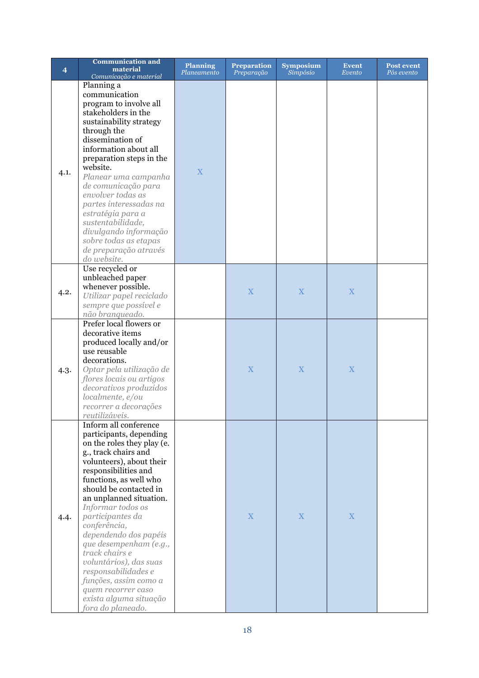| $\overline{\mathbf{4}}$ | <b>Communication and</b><br>material<br>Comunicação e material                                                                                                                                                                                                                                                                                                                                                                                                                                                         | <b>Planning</b><br>Planeamento | <b>Preparation</b><br>Preparação | <b>Symposium</b><br>Simpósio | <b>Event</b><br>Evento | <b>Post event</b><br>Pós evento |
|-------------------------|------------------------------------------------------------------------------------------------------------------------------------------------------------------------------------------------------------------------------------------------------------------------------------------------------------------------------------------------------------------------------------------------------------------------------------------------------------------------------------------------------------------------|--------------------------------|----------------------------------|------------------------------|------------------------|---------------------------------|
| 4.1.                    | Planning a<br>communication<br>program to involve all<br>stakeholders in the<br>sustainability strategy<br>through the<br>dissemination of<br>information about all<br>preparation steps in the<br>website.<br>Planear uma campanha<br>de comunicação para<br>envolver todas as<br>partes interessadas na<br>estratégia para a<br>sustentabilidade,<br>divulgando informação<br>sobre todas as etapas<br>de preparação através<br>do website.                                                                          | X                              |                                  |                              |                        |                                 |
| 4.2.                    | Use recycled or<br>unbleached paper<br>whenever possible.<br>Utilizar papel reciclado<br>sempre que possível e<br>não branqueado.                                                                                                                                                                                                                                                                                                                                                                                      |                                | X                                | X                            | X                      |                                 |
| 4.3.                    | Prefer local flowers or<br>decorative items<br>produced locally and/or<br>use reusable<br>decorations.<br>Optar pela utilização de<br>flores locais ou artigos<br>decorativos produzidos<br>localmente, e/ou<br>recorrer a decorações<br>reutilizáveis.                                                                                                                                                                                                                                                                |                                | X                                | X                            | X                      |                                 |
| 4.4.                    | Inform all conference<br>participants, depending<br>on the roles they play (e.<br>g., track chairs and<br>volunteers), about their<br>responsibilities and<br>functions, as well who<br>should be contacted in<br>an unplanned situation.<br>Informar todos os<br>participantes da<br>conferência,<br>dependendo dos papéis<br>que desempenham (e.g.,<br>track chairs e<br>voluntários), das suas<br>responsabilidades e<br>funções, assim como a<br>quem recorrer caso<br>exista alguma situação<br>fora do planeado. |                                | $\mathbf X$                      | X                            | X                      |                                 |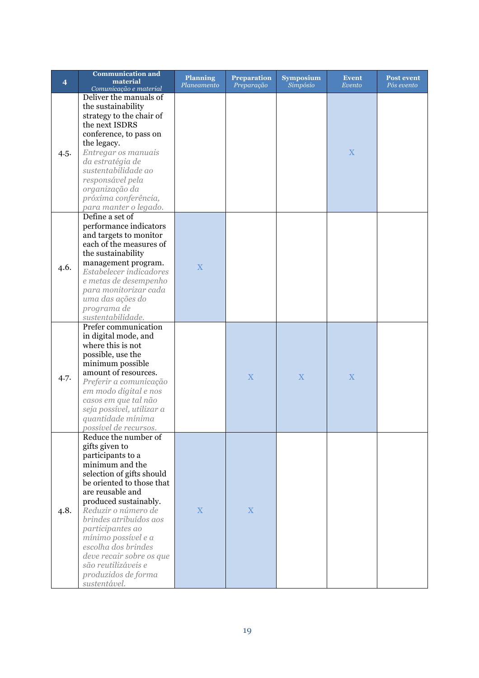|                | <b>Communication and</b>                      | <b>Planning</b>         | <b>Preparation</b>      | <b>Symposium</b> | <b>Event</b>            | <b>Post event</b> |
|----------------|-----------------------------------------------|-------------------------|-------------------------|------------------|-------------------------|-------------------|
| $\overline{4}$ | material                                      | Planeamento             | Preparação              | Simpósio         | Evento                  | Pós evento        |
|                | Comunicação e material                        |                         |                         |                  |                         |                   |
|                | Deliver the manuals of                        |                         |                         |                  |                         |                   |
|                | the sustainability                            |                         |                         |                  |                         |                   |
|                | strategy to the chair of                      |                         |                         |                  |                         |                   |
|                | the next ISDRS                                |                         |                         |                  |                         |                   |
|                | conference, to pass on                        |                         |                         |                  |                         |                   |
|                | the legacy.                                   |                         |                         |                  |                         |                   |
| 4.5.           | Entregar os manuais                           |                         |                         |                  | X                       |                   |
|                | da estratégia de                              |                         |                         |                  |                         |                   |
|                | sustentabilidade ao                           |                         |                         |                  |                         |                   |
|                | responsável pela                              |                         |                         |                  |                         |                   |
|                | organização da                                |                         |                         |                  |                         |                   |
|                | próxima conferência,                          |                         |                         |                  |                         |                   |
|                | para manter o legado.                         |                         |                         |                  |                         |                   |
|                | Define a set of                               |                         |                         |                  |                         |                   |
|                |                                               |                         |                         |                  |                         |                   |
|                | performance indicators                        |                         |                         |                  |                         |                   |
|                | and targets to monitor                        |                         |                         |                  |                         |                   |
|                | each of the measures of                       |                         |                         |                  |                         |                   |
|                | the sustainability                            |                         |                         |                  |                         |                   |
| 4.6.           | management program.                           | $\overline{\mathbf{X}}$ |                         |                  |                         |                   |
|                | Estabelecer indicadores                       |                         |                         |                  |                         |                   |
|                | e metas de desempenho                         |                         |                         |                  |                         |                   |
|                | para monitorizar cada                         |                         |                         |                  |                         |                   |
|                | uma das ações do                              |                         |                         |                  |                         |                   |
|                | programa de                                   |                         |                         |                  |                         |                   |
|                | sustentabilidade.                             |                         |                         |                  |                         |                   |
|                | Prefer communication                          |                         |                         |                  |                         |                   |
|                | in digital mode, and                          |                         |                         |                  |                         |                   |
|                | where this is not                             |                         |                         |                  |                         |                   |
|                | possible, use the                             |                         |                         |                  |                         |                   |
|                | minimum possible                              |                         |                         |                  |                         |                   |
|                | amount of resources.                          |                         | $\overline{\mathbf{X}}$ |                  | $\overline{\mathbf{X}}$ |                   |
| 4.7.           | Preferir a comunicação                        |                         |                         | X                |                         |                   |
|                | em modo digital e nos                         |                         |                         |                  |                         |                   |
|                | casos em que tal não                          |                         |                         |                  |                         |                   |
|                | seja possível, utilizar a                     |                         |                         |                  |                         |                   |
|                | quantidade mínima                             |                         |                         |                  |                         |                   |
|                | possível de recursos.                         |                         |                         |                  |                         |                   |
|                | Reduce the number of                          |                         |                         |                  |                         |                   |
|                | gifts given to                                |                         |                         |                  |                         |                   |
|                | participants to a                             |                         |                         |                  |                         |                   |
|                | minimum and the                               |                         |                         |                  |                         |                   |
|                | selection of gifts should                     |                         |                         |                  |                         |                   |
|                | be oriented to those that                     |                         |                         |                  |                         |                   |
|                | are reusable and                              |                         |                         |                  |                         |                   |
|                | produced sustainably.                         |                         |                         |                  |                         |                   |
|                |                                               | $\mathbf X$             | X                       |                  |                         |                   |
| 4.8.           | Reduzir o número de<br>brindes atribuídos aos |                         |                         |                  |                         |                   |
|                |                                               |                         |                         |                  |                         |                   |
|                | participantes ao                              |                         |                         |                  |                         |                   |
|                | mínimo possível e a                           |                         |                         |                  |                         |                   |
|                | escolha dos brindes                           |                         |                         |                  |                         |                   |
|                | deve recair sobre os que                      |                         |                         |                  |                         |                   |
|                | são reutilizáveis e                           |                         |                         |                  |                         |                   |
|                | produzidos de forma                           |                         |                         |                  |                         |                   |
|                | sustentável.                                  |                         |                         |                  |                         |                   |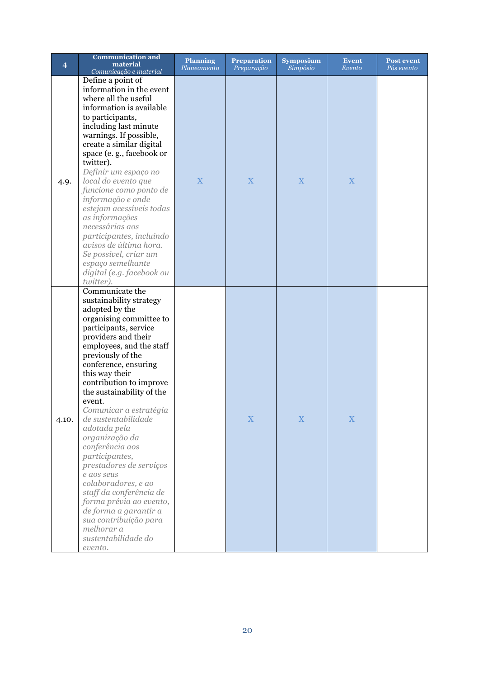| $\overline{\bf 4}$ | <b>Communication and</b><br>material<br>Comunicação e material                                                                                                                                                                                                                                                                                                                                                                                                                                                                                                                                                                                       | <b>Planning</b><br>Planeamento | <b>Preparation</b><br>Preparação | <b>Symposium</b><br>Simpósio | <b>Event</b><br>Evento | <b>Post event</b><br>Pós evento |
|--------------------|------------------------------------------------------------------------------------------------------------------------------------------------------------------------------------------------------------------------------------------------------------------------------------------------------------------------------------------------------------------------------------------------------------------------------------------------------------------------------------------------------------------------------------------------------------------------------------------------------------------------------------------------------|--------------------------------|----------------------------------|------------------------------|------------------------|---------------------------------|
| 4.9.               | Define a point of<br>information in the event<br>where all the useful<br>information is available<br>to participants,<br>including last minute<br>warnings. If possible,<br>create a similar digital<br>space (e.g., facebook or<br>twitter).<br>Definir um espaço no<br>local do evento que<br>funcione como ponto de<br>informação e onde<br>estejam acessíveis todas<br>as informações<br>necessárias aos<br>participantes, incluindo<br>avisos de última hora.<br>Se possível, criar um<br>espaço semelhante<br>digital (e.g. facebook ou<br>twitter).                                                                                           | X                              | X                                | X                            | X                      |                                 |
| 4.10.              | Communicate the<br>sustainability strategy<br>adopted by the<br>organising committee to<br>participants, service<br>providers and their<br>employees, and the staff<br>previously of the<br>conference, ensuring<br>this way their<br>contribution to improve<br>the sustainability of the<br>event.<br>Comunicar a estratégia<br>de sustentabilidade<br>adotada pela<br>organização da<br>conferência aos<br>participantes,<br>prestadores de serviços<br>e aos seus<br>colaboradores, e ao<br>staff da conferência de<br>forma prévia ao evento,<br>de forma a garantir a<br>sua contribuição para<br>melhorar a<br>sustentabilidade do<br>evento. |                                | $\mathbf X$                      | $\mathbf X$                  | $\mathbf X$            |                                 |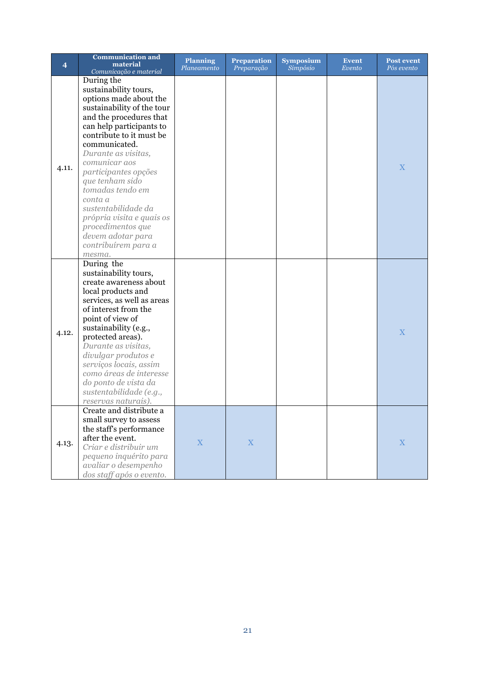| $\overline{\mathbf{4}}$ | <b>Communication and</b><br>material             | <b>Planning</b><br>Planeamento | <b>Preparation</b><br>Preparação | <b>Symposium</b><br>Simpósio | <b>Event</b><br>Evento | <b>Post event</b><br>Pós evento |
|-------------------------|--------------------------------------------------|--------------------------------|----------------------------------|------------------------------|------------------------|---------------------------------|
|                         | Comunicação e material<br>During the             |                                |                                  |                              |                        |                                 |
|                         | sustainability tours,                            |                                |                                  |                              |                        |                                 |
|                         | options made about the                           |                                |                                  |                              |                        |                                 |
|                         | sustainability of the tour                       |                                |                                  |                              |                        |                                 |
|                         | and the procedures that                          |                                |                                  |                              |                        |                                 |
|                         | can help participants to                         |                                |                                  |                              |                        |                                 |
|                         | contribute to it must be                         |                                |                                  |                              |                        |                                 |
|                         | communicated.                                    |                                |                                  |                              |                        |                                 |
|                         | Durante as visitas,                              |                                |                                  |                              |                        |                                 |
|                         | comunicar aos                                    |                                |                                  |                              |                        |                                 |
| 4.11.                   | participantes opções                             |                                |                                  |                              |                        | X                               |
|                         | que tenham sido                                  |                                |                                  |                              |                        |                                 |
|                         | tomadas tendo em                                 |                                |                                  |                              |                        |                                 |
|                         | conta a                                          |                                |                                  |                              |                        |                                 |
|                         | sustentabilidade da                              |                                |                                  |                              |                        |                                 |
|                         | própria visita e quais os                        |                                |                                  |                              |                        |                                 |
|                         | procedimentos que                                |                                |                                  |                              |                        |                                 |
|                         | devem adotar para                                |                                |                                  |                              |                        |                                 |
|                         | contribuírem para a                              |                                |                                  |                              |                        |                                 |
|                         | mesma.                                           |                                |                                  |                              |                        |                                 |
|                         | During the                                       |                                |                                  |                              |                        |                                 |
|                         | sustainability tours,                            |                                |                                  |                              |                        |                                 |
|                         | create awareness about                           |                                |                                  |                              |                        |                                 |
|                         | local products and<br>services, as well as areas |                                |                                  |                              |                        |                                 |
|                         | of interest from the                             |                                |                                  |                              |                        |                                 |
|                         | point of view of                                 |                                |                                  |                              |                        |                                 |
|                         | sustainability (e.g.,                            |                                |                                  |                              |                        |                                 |
| 4.12.                   | protected areas).                                |                                |                                  |                              |                        | X                               |
|                         | Durante as visitas,                              |                                |                                  |                              |                        |                                 |
|                         | divulgar produtos e                              |                                |                                  |                              |                        |                                 |
|                         | serviços locais, assim                           |                                |                                  |                              |                        |                                 |
|                         | como áreas de interesse                          |                                |                                  |                              |                        |                                 |
|                         | do ponto de vista da                             |                                |                                  |                              |                        |                                 |
|                         | sustentabilidade (e.g.,                          |                                |                                  |                              |                        |                                 |
|                         | reservas naturais).                              |                                |                                  |                              |                        |                                 |
|                         | Create and distribute a                          |                                |                                  |                              |                        |                                 |
|                         | small survey to assess                           |                                |                                  |                              |                        |                                 |
|                         | the staff's performance                          |                                |                                  |                              |                        |                                 |
| 4.13.                   | after the event.<br>Criar e distribuir um        | $\mathbf X$                    | $\mathbf X$                      |                              |                        | $\mathbf X$                     |
|                         |                                                  |                                |                                  |                              |                        |                                 |
|                         | pequeno inquérito para<br>avaliar o desempenho   |                                |                                  |                              |                        |                                 |
|                         | dos staff após o evento.                         |                                |                                  |                              |                        |                                 |
|                         |                                                  |                                |                                  |                              |                        |                                 |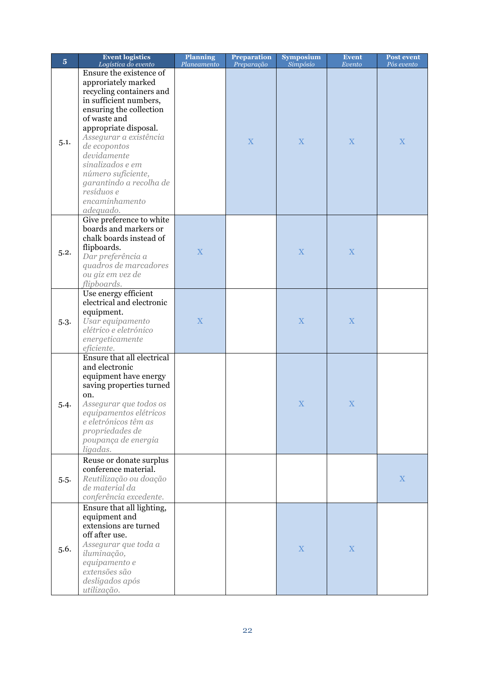| $\overline{5}$ | <b>Event logistics</b><br>Logística do evento                                                                                                                                                                                                                                                                                                       | <b>Planning</b><br>Planeamento | <b>Preparation</b><br>Preparação | <b>Symposium</b><br>Simpósio | <b>Event</b><br>Evento | Post event<br>Pós evento |
|----------------|-----------------------------------------------------------------------------------------------------------------------------------------------------------------------------------------------------------------------------------------------------------------------------------------------------------------------------------------------------|--------------------------------|----------------------------------|------------------------------|------------------------|--------------------------|
| 5.1.           | Ensure the existence of<br>approriately marked<br>recycling containers and<br>in sufficient numbers,<br>ensuring the collection<br>of waste and<br>appropriate disposal.<br>Assegurar a existência<br>de ecopontos<br>devidamente<br>sinalizados e em<br>número suficiente,<br>garantindo a recolha de<br>resíduos e<br>encaminhamento<br>adequado. |                                | $\mathbf X$                      | X                            | X                      | X                        |
| 5.2.           | Give preference to white<br>boards and markers or<br>chalk boards instead of<br>flipboards.<br>Dar preferência a<br>quadros de marcadores<br>ou giz em vez de<br>flipboards.                                                                                                                                                                        | $\mathbf X$                    |                                  | $\mathbf X$                  | $\mathbf X$            |                          |
| 5.3.           | Use energy efficient<br>electrical and electronic<br>equipment.<br>Usar equipamento<br>elétrico e eletrónico<br>energeticamente<br>eficiente.                                                                                                                                                                                                       | $\mathbf X$                    |                                  | $\mathbf X$                  | $\mathbf X$            |                          |
| 5.4.           | Ensure that all electrical<br>and electronic<br>equipment have energy<br>saving properties turned<br>on.<br>Assegurar que todos os<br>equipamentos elétricos<br>e eletrónicos têm as<br>propriedades de<br>poupança de energia<br>ligadas.                                                                                                          |                                |                                  | X                            | X                      |                          |
| 5.5.           | Reuse or donate surplus<br>conference material.<br>Reutilização ou doação<br>de material da<br>conferência excedente.                                                                                                                                                                                                                               |                                |                                  |                              |                        | $\mathbf X$              |
| 5.6.           | Ensure that all lighting,<br>equipment and<br>extensions are turned<br>off after use.<br>Assegurar que toda a<br>iluminação,<br>equipamento e<br>extensões são<br>desligados após<br>utilização.                                                                                                                                                    |                                |                                  | $\mathbf X$                  | $\mathbf X$            |                          |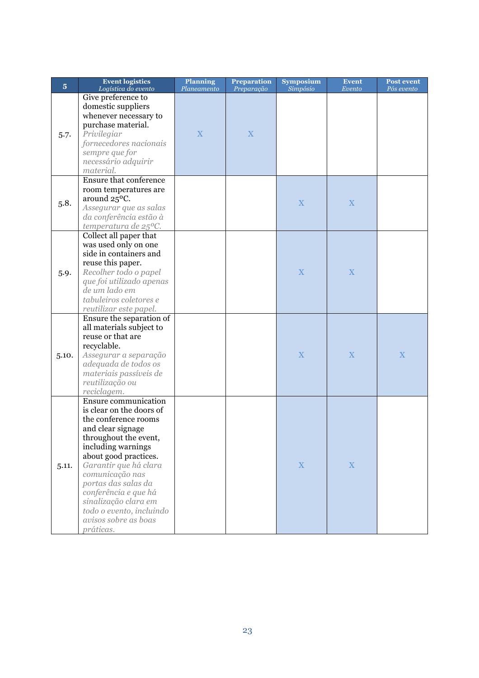| $\overline{5}$ | <b>Event logistics</b><br>Logística do evento                                                                                                                                                                                                                                                                                                             | <b>Planning</b><br>Planeamento | <b>Preparation</b><br>Preparação | <b>Symposium</b><br>Simpósio | <b>Event</b><br>Evento | Post event<br>Pós evento |
|----------------|-----------------------------------------------------------------------------------------------------------------------------------------------------------------------------------------------------------------------------------------------------------------------------------------------------------------------------------------------------------|--------------------------------|----------------------------------|------------------------------|------------------------|--------------------------|
| 5.7.           | Give preference to<br>domestic suppliers<br>whenever necessary to<br>purchase material.<br>Privilegiar<br>fornecedores nacionais<br>sempre que for<br>necessário adquirir<br>material.                                                                                                                                                                    | $\overline{\mathbf{X}}$        | X                                |                              |                        |                          |
| 5.8.           | <b>Ensure that conference</b><br>room temperatures are<br>around 25°C.<br>Assegurar que as salas<br>da conferência estão à<br>temperatura de $25^{\circ}$ C.                                                                                                                                                                                              |                                |                                  | X                            | $\mathbf X$            |                          |
| 5.9.           | Collect all paper that<br>was used only on one<br>side in containers and<br>reuse this paper.<br>Recolher todo o papel<br>que foi utilizado apenas<br>de um lado em<br>tabuleiros coletores e<br>reutilizar este papel.                                                                                                                                   |                                |                                  | X                            | X                      |                          |
| 5.10.          | Ensure the separation of<br>all materials subject to<br>reuse or that are<br>recyclable.<br>Assegurar a separação<br>adequada de todos os<br>materiais passíveis de<br>reutilização ou<br>reciclagem.                                                                                                                                                     |                                |                                  | X                            | X                      | X                        |
| 5.11.          | Ensure communication<br>is clear on the doors of<br>the conference rooms<br>and clear signage<br>throughout the event,<br>including warnings<br>about good practices.<br>Garantir que há clara<br>comunicação nas<br>portas das salas da<br>conferência e que há<br>sinalização clara em<br>todo o evento, incluindo<br>avisos sobre as boas<br>práticas. |                                |                                  | $\mathbf X$                  | $\mathbf X$            |                          |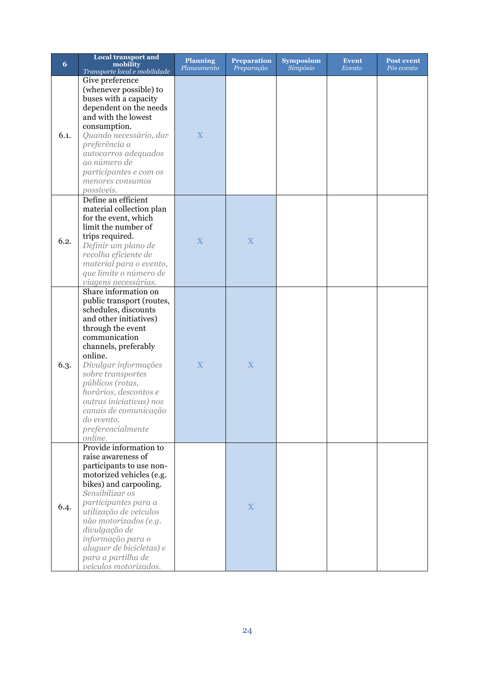| 6    | <b>Local transport and</b><br>mobility<br>Transporte local e mobilidade                                                                                                                                                                                                                                                                                                  | <b>Planning</b><br>Planeamento | <b>Preparation</b><br>Preparação | <b>Symposium</b><br>Simpósio | <b>Event</b><br>Evento | <b>Post event</b><br>Pós evento |
|------|--------------------------------------------------------------------------------------------------------------------------------------------------------------------------------------------------------------------------------------------------------------------------------------------------------------------------------------------------------------------------|--------------------------------|----------------------------------|------------------------------|------------------------|---------------------------------|
| 6.1. | Give preference<br>(whenever possible) to<br>buses with a capacity<br>dependent on the needs<br>and with the lowest<br>consumption.<br>Quando necessário, dar<br>preferência a<br>autocarros adequados<br>ao número de<br>participantes e com os<br>menores consumos<br>possíveis.                                                                                       | X                              |                                  |                              |                        |                                 |
| 6.2. | Define an efficient<br>material collection plan<br>for the event, which<br>limit the number of<br>trips required.<br>Definir um plano de<br>recolha eficiente de<br>material para o evento,<br>que limite o número de<br>viagens necessárias.                                                                                                                            | $\overline{\mathbf{X}}$        | X                                |                              |                        |                                 |
| 6.3. | Share information on<br>public transport (routes,<br>schedules, discounts<br>and other initiatives)<br>through the event<br>communication<br>channels, preferably<br>online.<br>Divulgar informações<br>sobre transportes<br>públicos (rotas,<br>horários, descontos e<br>outras iniciativas) nos<br>canais de comunicação<br>do evento,<br>preferencialmente<br>online. | $\overline{X}$                 | X                                |                              |                        |                                 |
| 6.4. | Provide information to<br>raise awareness of<br>participants to use non-<br>motorized vehicles (e.g.<br>bikes) and carpooling.<br>Sensibilizar os<br>participantes para a<br>utilização de veículos<br>não motorizados (e.g.<br>divulgação de<br>informação para o<br>aluguer de bicicletas) e<br>para a partilha de<br>veículos motorizados.                            |                                | X                                |                              |                        |                                 |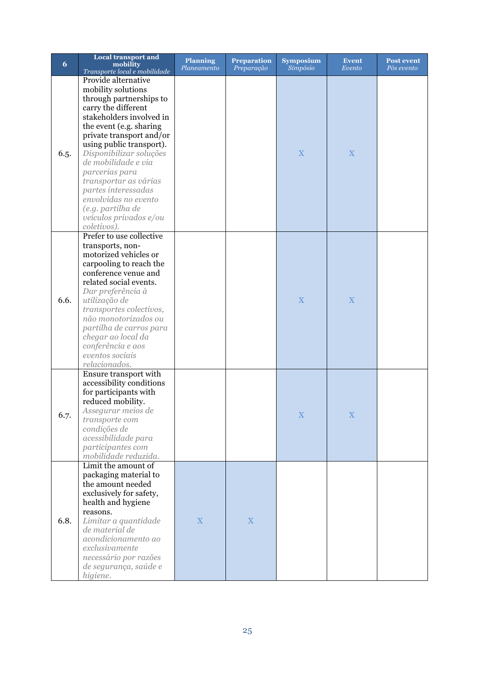| 6    | <b>Local transport and</b><br>mobility<br>Transporte local e mobilidade                                                                                                                                                                                                                                                                                                                                              | <b>Planning</b><br>Planeamento | <b>Preparation</b><br>Preparação | <b>Symposium</b><br>Simpósio | <b>Event</b><br>Evento | <b>Post event</b><br>Pós evento |
|------|----------------------------------------------------------------------------------------------------------------------------------------------------------------------------------------------------------------------------------------------------------------------------------------------------------------------------------------------------------------------------------------------------------------------|--------------------------------|----------------------------------|------------------------------|------------------------|---------------------------------|
| 6.5. | Provide alternative<br>mobility solutions<br>through partnerships to<br>carry the different<br>stakeholders involved in<br>the event (e.g. sharing<br>private transport and/or<br>using public transport).<br>Disponibilizar soluções<br>de mobilidade e via<br>parcerias para<br>transportar as várias<br>partes interessadas<br>envolvidas no evento<br>(e.g. partilha de<br>veículos privados e/ou<br>coletivos). |                                |                                  | X                            | X                      |                                 |
| 6.6. | Prefer to use collective<br>transports, non-<br>motorized vehicles or<br>carpooling to reach the<br>conference venue and<br>related social events.<br>Dar preferência à<br>utilização de<br>transportes colectivos,<br>não monotorizados ou<br>partilha de carros para<br>chegar ao local da<br>conferência e aos<br>eventos sociais<br>relacionados.                                                                |                                |                                  | X                            | X                      |                                 |
| 6.7. | Ensure transport with<br>accessibility conditions<br>for participants with<br>reduced mobility.<br>Assegurar meios de<br>transporte com<br>condições de<br>acessibilidade para<br>participantes com<br>mobilidade reduzida.                                                                                                                                                                                          |                                |                                  | X                            | $\mathbf X$            |                                 |
| 6.8. | Limit the amount of<br>packaging material to<br>the amount needed<br>exclusively for safety,<br>health and hygiene<br>reasons.<br>Limitar a quantidade<br>de material de<br>acondicionamento ao<br>exclusivamente<br>necessário por razões<br>de segurança, saúde e<br>higiene.                                                                                                                                      | $\mathbf X$                    | $\mathbf X$                      |                              |                        |                                 |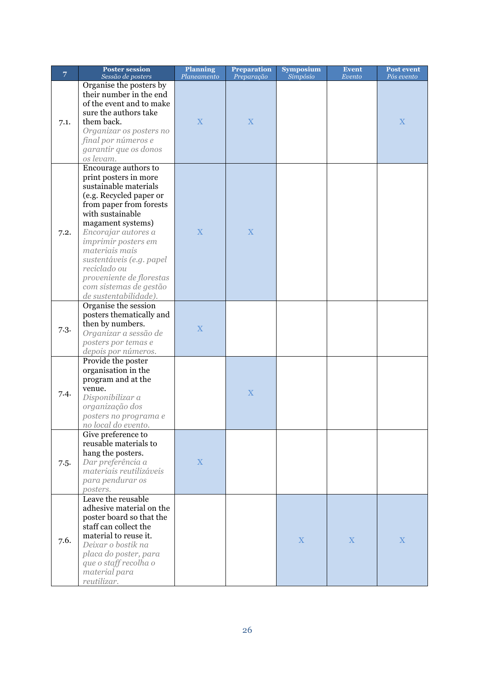| $\overline{7}$ | <b>Poster session</b>                       | <b>Planning</b> | <b>Preparation</b> | <b>Symposium</b> | <b>Event</b> | <b>Post event</b> |
|----------------|---------------------------------------------|-----------------|--------------------|------------------|--------------|-------------------|
|                | Sessão de posters                           | Planeamento     | Preparação         | Simpósio         | Evento       | Pós evento        |
|                | Organise the posters by                     |                 |                    |                  |              |                   |
|                | their number in the end                     |                 |                    |                  |              |                   |
| 7.1.           | of the event and to make                    |                 |                    |                  |              |                   |
|                | sure the authors take                       |                 |                    |                  |              |                   |
|                | them back.                                  | X               | $\mathbf X$        |                  |              | $\mathbf X$       |
|                | Organizar os posters no                     |                 |                    |                  |              |                   |
|                | final por números e                         |                 |                    |                  |              |                   |
|                | garantir que os donos                       |                 |                    |                  |              |                   |
|                | os levam.                                   |                 |                    |                  |              |                   |
|                | Encourage authors to                        |                 |                    |                  |              |                   |
|                | print posters in more                       |                 |                    |                  |              |                   |
|                | sustainable materials                       |                 |                    |                  |              |                   |
|                | (e.g. Recycled paper or                     |                 |                    |                  |              |                   |
|                | from paper from forests                     |                 |                    |                  |              |                   |
|                | with sustainable                            |                 |                    |                  |              |                   |
|                | magament systems)                           |                 |                    |                  |              |                   |
| 7.2.           | Encorajar autores a                         | X               | X                  |                  |              |                   |
|                | <i>imprimir posters em</i>                  |                 |                    |                  |              |                   |
|                | materiais mais                              |                 |                    |                  |              |                   |
|                | sustentáveis (e.g. papel                    |                 |                    |                  |              |                   |
|                | reciclado ou                                |                 |                    |                  |              |                   |
|                | proveniente de florestas                    |                 |                    |                  |              |                   |
|                | com sistemas de gestão                      |                 |                    |                  |              |                   |
|                | de sustentabilidade).                       |                 |                    |                  |              |                   |
|                | Organise the session                        |                 |                    |                  |              |                   |
|                | posters thematically and                    |                 |                    |                  |              |                   |
|                | then by numbers.                            |                 |                    |                  |              |                   |
| 7.3.           | Organizar a sessão de                       | X               |                    |                  |              |                   |
|                | posters por temas e                         |                 |                    |                  |              |                   |
|                | depois por números.                         |                 |                    |                  |              |                   |
|                | Provide the poster                          |                 |                    |                  |              |                   |
|                | organisation in the                         |                 |                    |                  |              |                   |
|                |                                             |                 |                    |                  |              |                   |
|                | program and at the                          |                 |                    |                  |              |                   |
| 7.4.           | venue.<br>Disponibilizar a                  |                 | X                  |                  |              |                   |
|                |                                             |                 |                    |                  |              |                   |
|                | organização dos                             |                 |                    |                  |              |                   |
|                | posters no programa e                       |                 |                    |                  |              |                   |
|                | no local do evento.                         |                 |                    |                  |              |                   |
|                | Give preference to<br>reusable materials to |                 |                    |                  |              |                   |
|                |                                             |                 |                    |                  |              |                   |
|                | hang the posters.                           |                 |                    |                  |              |                   |
| 7.5.           | Dar preferência a                           | $\mathbf X$     |                    |                  |              |                   |
|                | materiais reutilizáveis                     |                 |                    |                  |              |                   |
|                | para pendurar os                            |                 |                    |                  |              |                   |
|                | posters.                                    |                 |                    |                  |              |                   |
|                | Leave the reusable                          |                 |                    |                  |              |                   |
|                | adhesive material on the                    |                 |                    |                  |              |                   |
|                | poster board so that the                    |                 |                    |                  |              |                   |
|                | staff can collect the                       |                 |                    |                  |              |                   |
| 7.6.           | material to reuse it.                       |                 |                    | X                | X            | $\mathbf X$       |
|                | Deixar o bostik na                          |                 |                    |                  |              |                   |
|                | placa do poster, para                       |                 |                    |                  |              |                   |
|                | que o staff recolha o                       |                 |                    |                  |              |                   |
|                | material para                               |                 |                    |                  |              |                   |
|                | reutilizar.                                 |                 |                    |                  |              |                   |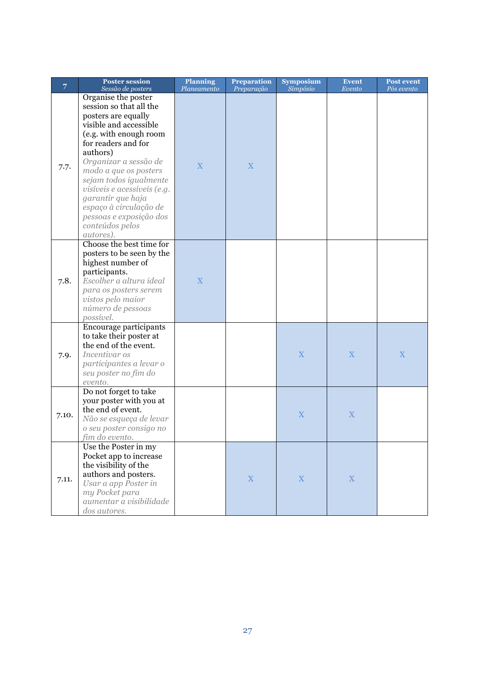| 7     | <b>Poster session</b><br>Sessão de posters                                                                                                                                                                                                                                                                                                                                        | <b>Planning</b><br>Planeamento | <b>Preparation</b><br>Preparação | <b>Symposium</b><br>Simpósio | <b>Event</b><br>Evento | Post event<br>Pós evento |
|-------|-----------------------------------------------------------------------------------------------------------------------------------------------------------------------------------------------------------------------------------------------------------------------------------------------------------------------------------------------------------------------------------|--------------------------------|----------------------------------|------------------------------|------------------------|--------------------------|
| 7.7.  | Organise the poster<br>session so that all the<br>posters are equally<br>visible and accessible<br>(e.g. with enough room<br>for readers and for<br>authors)<br>Organizar a sessão de<br>modo a que os posters<br>sejam todos igualmente<br>visíveis e acessíveis (e.g.<br>garantir que haja<br>espaço à circulação de<br>pessoas e exposição dos<br>conteúdos pelos<br>autores). | X                              | X                                |                              |                        |                          |
| 7.8.  | Choose the best time for<br>posters to be seen by the<br>highest number of<br>participants.<br>Escolher a altura ideal<br>para os posters serem<br>vistos pelo maior<br>número de pessoas<br>possível.                                                                                                                                                                            | X                              |                                  |                              |                        |                          |
| 7.9.  | Encourage participants<br>to take their poster at<br>the end of the event.<br>Incentivar os<br>participantes a levar o<br>seu poster no fim do<br>evento.                                                                                                                                                                                                                         |                                |                                  | $\mathbf X$                  | X                      | X                        |
| 7.10. | Do not forget to take<br>your poster with you at<br>the end of event.<br>Não se esqueça de levar<br>o seu poster consigo no<br>fim do evento.                                                                                                                                                                                                                                     |                                |                                  | X                            | X                      |                          |
| 7.11. | Use the Poster in my<br>Pocket app to increase<br>the visibility of the<br>authors and posters.<br>Usar a app Poster in<br>my Pocket para<br>aumentar a visibilidade<br>dos autores.                                                                                                                                                                                              |                                | $\mathbf X$                      | X                            | $\mathbf X$            |                          |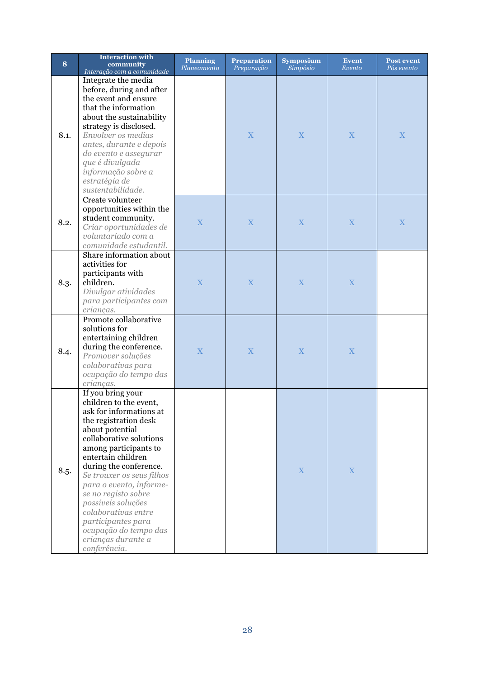| 8    | <b>Interaction with</b><br>community<br>Interação com a comunidade                                                                                                                                                                                                                                                                                                                                                                      | <b>Planning</b><br>Planeamento | <b>Preparation</b><br>Preparação | <b>Symposium</b><br>Simpósio | <b>Event</b><br>Evento | <b>Post event</b><br>Pós evento |
|------|-----------------------------------------------------------------------------------------------------------------------------------------------------------------------------------------------------------------------------------------------------------------------------------------------------------------------------------------------------------------------------------------------------------------------------------------|--------------------------------|----------------------------------|------------------------------|------------------------|---------------------------------|
| 8.1. | Integrate the media<br>before, during and after<br>the event and ensure<br>that the information<br>about the sustainability<br>strategy is disclosed.<br>Envolver os medias<br>antes, durante e depois<br>do evento e assegurar<br>que é divulgada<br>informação sobre a<br>estratégia de<br>sustentabilidade.                                                                                                                          |                                | X                                | $\mathbf X$                  | X                      | X                               |
| 8.2. | Create volunteer<br>opportunities within the<br>student community.<br>Criar oportunidades de<br>voluntariado com a<br>comunidade estudantil.                                                                                                                                                                                                                                                                                            | X                              | X                                | X                            | X                      | X                               |
| 8.3. | Share information about<br>activities for<br>participants with<br>children.<br>Divulgar atividades<br>para participantes com<br>crianças.                                                                                                                                                                                                                                                                                               | X                              | X                                | $\mathbf X$                  | X                      |                                 |
| 8.4. | Promote collaborative<br>solutions for<br>entertaining children<br>during the conference.<br>Promover soluções<br>colaborativas para<br>ocupação do tempo das<br>crianças.                                                                                                                                                                                                                                                              | $\mathbf X$                    | X                                | X                            | X                      |                                 |
| 8.5. | If you bring your<br>children to the event,<br>ask for informations at<br>the registration desk<br>about potential<br>collaborative solutions<br>among participants to<br>entertain children<br>during the conference.<br>Se trouxer os seus filhos<br>para o evento, informe-<br>se no registo sobre<br>possíveis soluções<br>colaborativas entre<br>participantes para<br>ocupação do tempo das<br>crianças durante a<br>conferência. |                                |                                  | $\mathbf X$                  | $\mathbf X$            |                                 |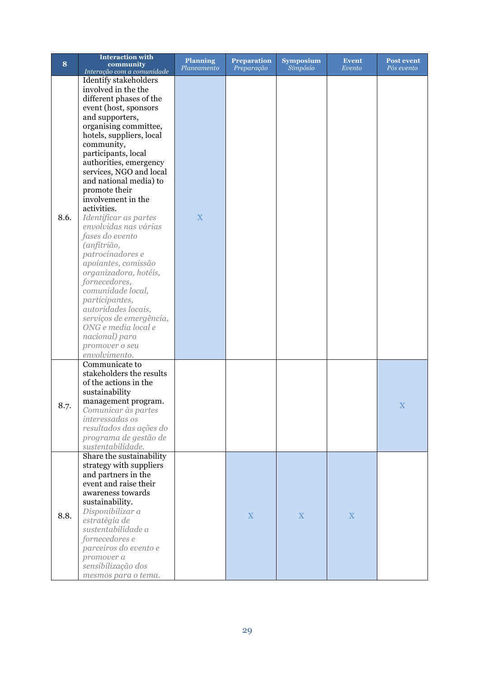|      | <b>Interaction with</b>                             | <b>Planning</b> | <b>Preparation</b> | <b>Symposium</b> | <b>Event</b> | <b>Post event</b> |
|------|-----------------------------------------------------|-----------------|--------------------|------------------|--------------|-------------------|
| 8    | community<br>Interação com a comunidade             | Planeamento     | Preparação         | Simpósio         | Evento       | Pós evento        |
|      | Identify stakeholders                               |                 |                    |                  |              |                   |
|      | involved in the the                                 |                 |                    |                  |              |                   |
|      | different phases of the                             |                 |                    |                  |              |                   |
|      | event (host, sponsors                               |                 |                    |                  |              |                   |
|      | and supporters,                                     |                 |                    |                  |              |                   |
|      | organising committee,                               |                 |                    |                  |              |                   |
|      | hotels, suppliers, local                            |                 |                    |                  |              |                   |
|      | community,                                          |                 |                    |                  |              |                   |
|      | participants, local                                 |                 |                    |                  |              |                   |
|      |                                                     |                 |                    |                  |              |                   |
|      | authorities, emergency<br>services, NGO and local   |                 |                    |                  |              |                   |
|      | and national media) to                              |                 |                    |                  |              |                   |
|      |                                                     |                 |                    |                  |              |                   |
|      | promote their                                       |                 |                    |                  |              |                   |
|      | involvement in the                                  |                 |                    |                  |              |                   |
| 8.6. | activities.                                         |                 |                    |                  |              |                   |
|      | Identificar as partes                               | X               |                    |                  |              |                   |
|      | envolvidas nas várias                               |                 |                    |                  |              |                   |
|      | fases do evento                                     |                 |                    |                  |              |                   |
|      | (anfitrião,                                         |                 |                    |                  |              |                   |
|      | patrocinadores e                                    |                 |                    |                  |              |                   |
|      | apoiantes, comissão                                 |                 |                    |                  |              |                   |
|      | organizadora, hotéis,                               |                 |                    |                  |              |                   |
|      | fornecedores,                                       |                 |                    |                  |              |                   |
|      | comunidade local,                                   |                 |                    |                  |              |                   |
|      | participantes,                                      |                 |                    |                  |              |                   |
|      | autoridades locais,                                 |                 |                    |                  |              |                   |
|      | serviços de emergência,                             |                 |                    |                  |              |                   |
|      | ONG e media local e                                 |                 |                    |                  |              |                   |
|      | nacional) para                                      |                 |                    |                  |              |                   |
|      | promover o seu                                      |                 |                    |                  |              |                   |
|      | envolvimento.                                       |                 |                    |                  |              |                   |
| 8.7. | Communicate to                                      |                 |                    |                  |              |                   |
|      | stakeholders the results                            |                 |                    |                  |              |                   |
|      | of the actions in the                               |                 |                    |                  |              |                   |
|      | sustainability                                      |                 |                    |                  |              |                   |
|      | management program.                                 |                 |                    |                  |              | X                 |
|      | Comunicar às partes                                 |                 |                    |                  |              |                   |
|      | interessadas os                                     |                 |                    |                  |              |                   |
|      | resultados das ações do                             |                 |                    |                  |              |                   |
|      | programa de gestão de                               |                 |                    |                  |              |                   |
|      | sustentabilidade.                                   |                 |                    |                  |              |                   |
|      | Share the sustainability<br>strategy with suppliers |                 |                    |                  |              |                   |
|      |                                                     |                 |                    |                  |              |                   |
|      | and partners in the<br>event and raise their        |                 |                    |                  |              |                   |
|      | awareness towards                                   |                 |                    |                  |              |                   |
|      |                                                     |                 |                    |                  |              |                   |
| 8.8. | sustainability.                                     |                 |                    |                  |              |                   |
|      | Disponibilizar a                                    |                 | X                  | X                | X            |                   |
|      | estratégia de                                       |                 |                    |                  |              |                   |
|      | sustentabilidade a                                  |                 |                    |                  |              |                   |
|      | fornecedores e                                      |                 |                    |                  |              |                   |
|      | parceiros do evento e                               |                 |                    |                  |              |                   |
|      | promover a                                          |                 |                    |                  |              |                   |
|      | sensibilização dos                                  |                 |                    |                  |              |                   |
|      | mesmos para o tema.                                 |                 |                    |                  |              |                   |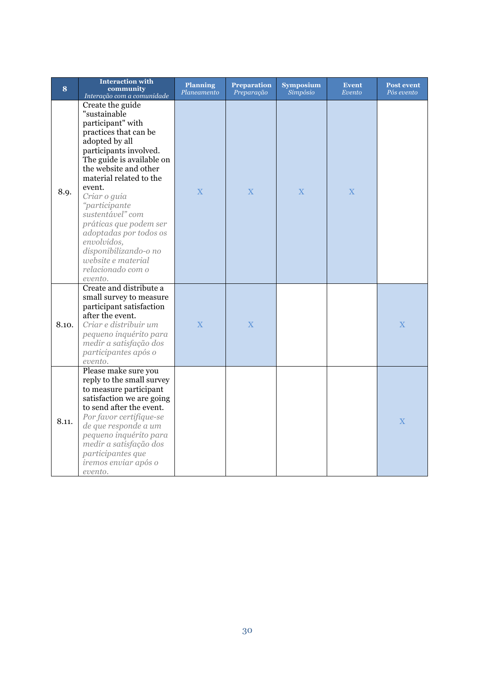| 8     | <b>Interaction with</b><br>community<br>Interação com a comunidade                                                                                                                                                                                                                                                                                                                                                           | <b>Planning</b><br>Planeamento | <b>Preparation</b><br>Preparação | <b>Symposium</b><br>Simpósio | <b>Event</b><br>Evento | <b>Post event</b><br>Pós evento |
|-------|------------------------------------------------------------------------------------------------------------------------------------------------------------------------------------------------------------------------------------------------------------------------------------------------------------------------------------------------------------------------------------------------------------------------------|--------------------------------|----------------------------------|------------------------------|------------------------|---------------------------------|
| 8.9.  | Create the guide<br>"sustainable<br>participant" with<br>practices that can be<br>adopted by all<br>participants involved.<br>The guide is available on<br>the website and other<br>material related to the<br>event.<br>Criar o guia<br>"participante<br>sustentável" com<br>práticas que podem ser<br>adoptadas por todos os<br>envolvidos,<br>disponibilizando-o no<br>website e material<br>relacionado com o<br>evento. | $\overline{X}$                 | $\overline{X}$                   | $\overline{X}$               | X                      |                                 |
| 8.10. | Create and distribute a<br>small survey to measure<br>participant satisfaction<br>after the event.<br>Criar e distribuir um<br>pequeno inquérito para<br>medir a satisfação dos<br>participantes após o<br>evento.                                                                                                                                                                                                           | X                              | X                                |                              |                        | $\overline{X}$                  |
| 8.11. | Please make sure you<br>reply to the small survey<br>to measure participant<br>satisfaction we are going<br>to send after the event.<br>Por favor certifique-se<br>de que responde a um<br>pequeno inquérito para<br>medir a satisfação dos<br>participantes que<br>iremos enviar após o<br>evento.                                                                                                                          |                                |                                  |                              |                        | $\overline{X}$                  |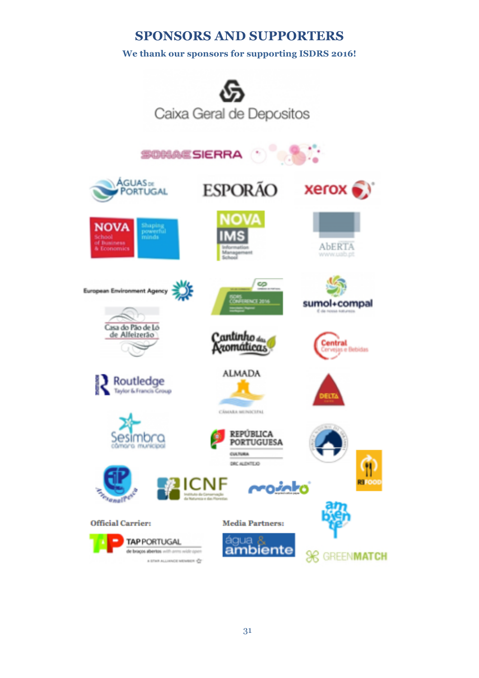#### **SPONSORS AND SUPPORTERS**

#### **We thank our sponsors for supporting ISDRS 2016!**